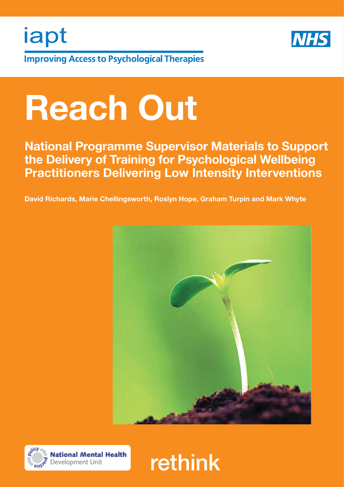

**Improving Access to Psychological Therapies** 

iapt

# Reach Out

National Programme Supervisor Materials to Support the Delivery of Training for Psychological Wellbeing Practitioners Delivering Low Intensity Interventions

David Richards, Marie Chellingsworth, Roslyn Hope, Graham Turpin and Mark Whyte





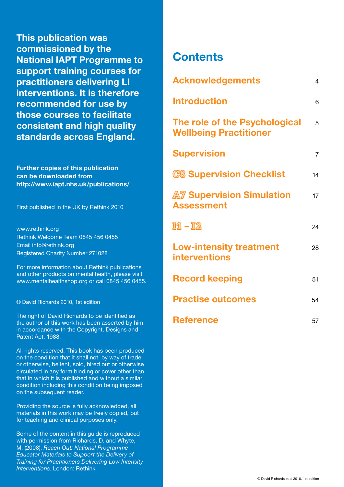This publication was commissioned by the National IAPT Programme to support training courses for practitioners delivering LI interventions. It is therefore recommended for use by those courses to facilitate consistent and high quality standards across England.

Further copies of this publication can be downloaded from http://www.iapt.nhs.uk/publications/

First published in the UK by Rethink 2010

www.rethink.org Rethink Welcome Team 0845 456 0455 Email info@rethink.org Registered Charity Number 271028

For more information about Rethink publications and other products on mental health, please visit www.mentalhealthshop.org or call 0845 456 0455.

#### © David Richards 2010, 1st edition

The right of David Richards to be identified as the author of this work has been asserted by him in accordance with the Copyright, Designs and Patent Act, 1988.

All rights reserved. This book has been produced on the condition that it shall not, by way of trade or otherwise, be lent, sold, hired out or otherwise circulated in any form binding or cover other than that in which it is published and without a similar condition including this condition being imposed on the subsequent reader.

Providing the source is fully acknowledged, all materials in this work may be freely copied, but for teaching and clinical purposes only.

Some of the content in this guide is reproduced with permission from Richards, D. and Whyte, M. (2008). *Reach Out: National Programme Educator Materials to Support the Delivery of Training for Practitioners Delivering Low Intensity Interventions*. London: Rethink

## **Contents**

| <b>Acknowledgements</b>                                        | $\overline{4}$ |
|----------------------------------------------------------------|----------------|
| <b>Introduction</b>                                            | 6              |
| The role of the Psychological<br><b>Wellbeing Practitioner</b> | 5              |
| <b>Supervision</b>                                             | $\overline{7}$ |
| <b>C&amp; Supervision Checklist</b>                            | 14             |
| A Supervision Simulation<br><b>Assessment</b>                  | 17             |
| $\Pi1 - \overline{12}$                                         | 24             |
| <b>Low-intensity treatment</b><br><b>interventions</b>         | 28             |
| <b>Record keeping</b>                                          | 51             |
| <b>Practise outcomes</b>                                       | 54             |
| <b>Reference</b>                                               | 57             |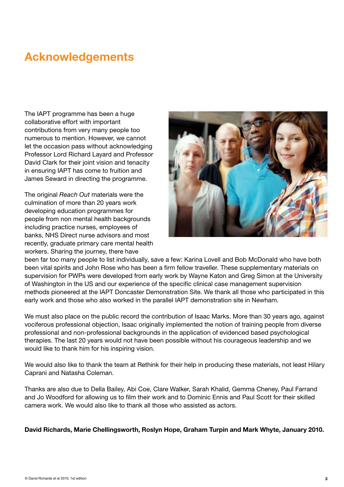# Acknowledgements

The IAPT programme has been a huge collaborative effort with important contributions from very many people too numerous to mention. However, we cannot let the occasion pass without acknowledging Professor Lord Richard Layard and Professor David Clark for their joint vision and tenacity in ensuring IAPT has come to fruition and James Seward in directing the programme.

The original *Reach Out* materials were the culmination of more than 20 years work developing education programmes for people from non mental health backgrounds including practice nurses, employees of banks, NHS Direct nurse advisors and most recently, graduate primary care mental health workers. Sharing the journey, there have



been far too many people to list individually, save a few: Karina Lovell and Bob McDonald who have both been vital spirits and John Rose who has been a firm fellow traveller. These supplementary materials on supervision for PWPs were developed from early work by Wayne Katon and Greg Simon at the University of Washington in the US and our experience of the specific clinical case management supervision methods pioneered at the IAPT Doncaster Demonstration Site. We thank all those who participated in this early work and those who also worked in the parallel IAPT demonstration site in Newham.

We must also place on the public record the contribution of Isaac Marks. More than 30 years ago, against vociferous professional objection, Isaac originally implemented the notion of training people from diverse professional and non-professional backgrounds in the application of evidenced based psychological therapies. The last 20 years would not have been possible without his courageous leadership and we would like to thank him for his inspiring vision.

We would also like to thank the team at Rethink for their help in producing these materials, not least Hilary Caprani and Natasha Coleman.

Thanks are also due to Della Bailey, Abi Coe, Clare Walker, Sarah Khalid, Gemma Cheney, Paul Farrand and Jo Woodford for allowing us to film their work and to Dominic Ennis and Paul Scott for their skilled camera work. We would also like to thank all those who assisted as actors.

David Richards, Marie Chellingsworth, Roslyn Hope, Graham Turpin and Mark Whyte, January 2010.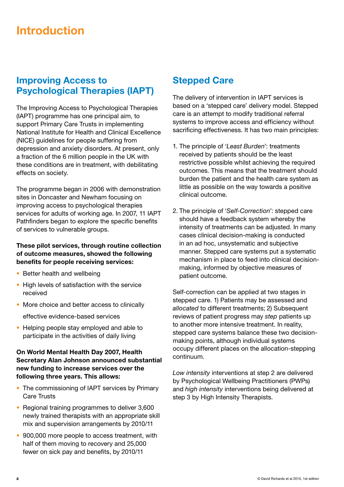# Introduction

#### Improving Access to Psychological Therapies (IAPT)

The Improving Access to Psychological Therapies (IAPT) programme has one principal aim, to support Primary Care Trusts in implementing National Institute for Health and Clinical Excellence (NICE) guidelines for people suffering from depression and anxiety disorders. At present, only a fraction of the 6 million people in the UK with these conditions are in treatment, with debilitating effects on society.

The programme began in 2006 with demonstration sites in Doncaster and Newham focusing on improving access to psychological therapies services for adults of working age. In 2007, 11 IAPT Pathfinders began to explore the specific benefits of services to vulnerable groups.

#### These pilot services, through routine collection of outcome measures, showed the following benefits for people receiving services:

- Better health and wellbeing
- High levels of satisfaction with the service received
- More choice and better access to clinically effective evidence-based services
- Helping people stay employed and able to participate in the activities of daily living

#### On World Mental Health Day 2007, Health Secretary Alan Johnson announced substantial new funding to increase services over the following three years. This allows:

- The commissioning of IAPT services by Primary Care Trusts
- Regional training programmes to deliver 3,600 newly trained therapists with an appropriate skill mix and supervision arrangements by 2010/11
- 900,000 more people to access treatment, with half of them moving to recovery and 25,000 fewer on sick pay and benefits, by 2010/11

#### Stepped Care

The delivery of intervention in IAPT services is based on a 'stepped care' delivery model. Stepped care is an attempt to modify traditional referral systems to improve access and efficiency without sacrificing effectiveness. It has two main principles:

- 1. The principle of '*Least Burden*': treatments received by patients should be the least restrictive possible whilst achieving the required outcomes. This means that the treatment should burden the patient and the health care system as little as possible on the way towards a positive clinical outcome.
- 2. The principle of '*Self-Correction*': stepped care should have a feedback system whereby the intensity of treatments can be adjusted. In many cases clinical decision-making is conducted in an ad hoc, unsystematic and subjective manner. Stepped care systems put a systematic mechanism in place to feed into clinical decisionmaking, informed by objective measures of patient outcome.

Self-correction can be applied at two stages in stepped care. 1) Patients may be assessed and *allocated* to different treatments; 2) Subsequent reviews of patient progress may *step* patients up to another more intensive treatment. In reality, stepped care systems balance these two decisionmaking points, although individual systems occupy different places on the allocation-stepping continuum.

*Low intensity* interventions at step 2 are delivered by Psychological Wellbeing Practitioners (PWPs) and *high intensity* interventions being delivered at step 3 by High Intensity Therapists.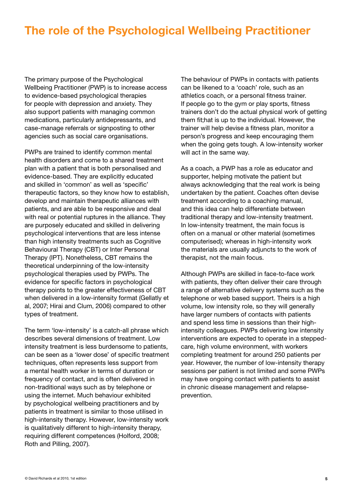# The role of the Psychological Wellbeing Practitioner

The primary purpose of the Psychological Wellbeing Practitioner (PWP) is to increase access to evidence-based psychological therapies for people with depression and anxiety. They also support patients with managing common medications, particularly antidepressants, and case-manage referrals or signposting to other agencies such as social care organisations.

PWPs are trained to identify common mental health disorders and come to a shared treatment plan with a patient that is both personalised and evidence-based. They are explicitly educated and skilled in 'common' as well as 'specific' therapeutic factors, so they know how to establish, develop and maintain therapeutic alliances with patients, and are able to be responsive and deal with real or potential ruptures in the alliance. They are purposely educated and skilled in delivering psychological interventions that are less intense than high intensity treatments such as Cognitive Behavioural Therapy (CBT) or Inter Personal Therapy (IPT). Nonetheless, CBT remains the theoretical underpinning of the low-intensity psychological therapies used by PWPs. The evidence for specific factors in psychological therapy points to the greater effectiveness of CBT when delivered in a low-intensity format (Gellatly et al, 2007; Hirai and Clum, 2006) compared to other types of treatment.

The term 'low-intensity' is a catch-all phrase which describes several dimensions of treatment. Low intensity treatment is less burdensome to patients, can be seen as a 'lower dose' of specific treatment techniques, often represents less support from a mental health worker in terms of duration or frequency of contact, and is often delivered in non-traditional ways such as by telephone or using the internet. Much behaviour exhibited by psychological wellbeing practitioners and by patients in treatment is similar to those utilised in high-intensity therapy. However, low-intensity work is qualitatively different to high-intensity therapy, requiring different competences (Holford, 2008; Roth and Pilling, 2007).

The behaviour of PWPs in contacts with patients can be likened to a 'coach' role, such as an athletics coach, or a personal fitness trainer. If people go to the gym or play sports, fitness trainers don't do the actual physical work of getting them fit;hat is up to the individual. However, the trainer will help devise a fitness plan, monitor a person's progress and keep encouraging them when the going gets tough. A low-intensity worker will act in the same way.

As a coach, a PWP has a role as educator and supporter, helping motivate the patient but always acknowledging that the real work is being undertaken by the patient. Coaches often devise treatment according to a coaching manual, and this idea can help differentiate between traditional therapy and low-intensity treatment. In low-intensity treatment, the main focus is often on a manual or other material (sometimes computerised); whereas in high-intensity work the materials are usually adjuncts to the work of therapist, not the main focus.

Although PWPs are skilled in face-to-face work with patients, they often deliver their care through a range of alternative delivery systems such as the telephone or web based support. Theirs is a high volume, low intensity role, so they will generally have larger numbers of contacts with patients and spend less time in sessions than their highintensity colleagues. PWPs delivering low intensity interventions are expected to operate in a steppedcare, high volume environment, with workers completing treatment for around 250 patients per year. However, the number of low-intensity therapy sessions per patient is not limited and some PWPs may have ongoing contact with patients to assist in chronic disease management and relapseprevention.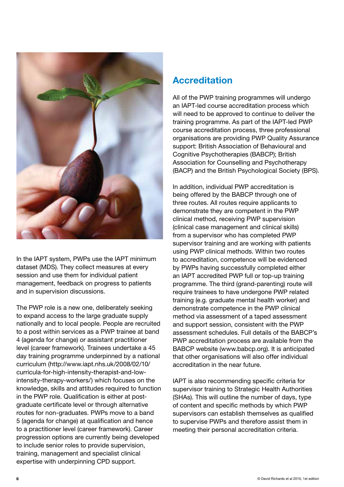

In the IAPT system, PWPs use the IAPT minimum dataset (MDS). They collect measures at every session and use them for individual patient management, feedback on progress to patients and in supervision discussions.

The PWP role is a new one, deliberately seeking to expand access to the large graduate supply nationally and to local people. People are recruited to a post within services as a PWP trainee at band 4 (agenda for change) or assistant practitioner level (career framework). Trainees undertake a 45 day training programme underpinned by a national curriculum (http://www.iapt.nhs.uk/2008/02/10/ curricula-for-high-intensity-therapist-and-lowintensity-therapy-workers/) which focuses on the knowledge, skills and attitudes required to function in the PWP role. Qualification is either at postgraduate certificate level or through alternative routes for non-graduates. PWPs move to a band 5 (agenda for change) at qualification and hence to a practitioner level (career framework). Career progression options are currently being developed to include senior roles to provide supervision, training, management and specialist clinical expertise with underpinning CPD support.

## Accreditation

All of the PWP training programmes will undergo an IAPT-led course accreditation process which will need to be approved to continue to deliver the training programme. As part of the IAPT-led PWP course accreditation process, three professional organisations are providing PWP Quality Assurance support: British Association of Behavioural and Cognitive Psychotherapies (BABCP); British Association for Counselling and Psychotherapy (BACP) and the British Psychological Society (BPS).

In addition, individual PWP accreditation is being offered by the BABCP through one of three routes. All routes require applicants to demonstrate they are competent in the PWP clinical method, receiving PWP supervision (clinical case management and clinical skills) from a supervisor who has completed PWP supervisor training and are working with patients using PWP clinical methods. Within two routes to accreditation, competence will be evidenced by PWPs having successfully completed either an IAPT accredited PWP full or top-up training programme. The third (grand-parenting) route will require trainees to have undergone PWP related training (e.g. graduate mental health worker) and demonstrate competence in the PWP clinical method via assessment of a taped assessment and support session, consistent with the PWP assessment schedules. Full details of the BABCP's PWP accreditation process are available from the BABCP website (www.babcp.org). It is anticipated that other organisations will also offer individual accreditation in the near future.

IAPT is also recommending specific criteria for supervisor training to Strategic Health Authorities (SHAs). This will outline the number of days, type of content and specific methods by which PWP supervisors can establish themselves as qualified to supervise PWPs and therefore assist them in meeting their personal accreditation criteria.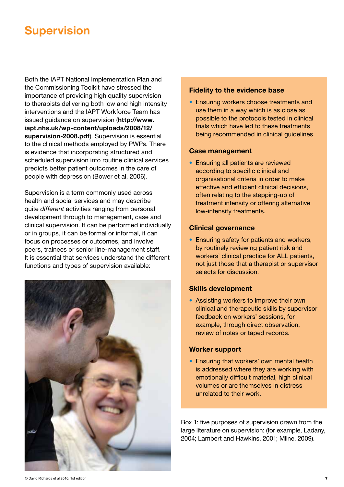# **Supervision**

Both the IAPT National Implementation Plan and the Commissioning Toolkit have stressed the importance of providing high quality supervision to therapists delivering both low and high intensity interventions and the IAPT Workforce Team has issued guidance on supervision (http://www. iapt.nhs.uk/wp-content/uploads/2008/12/ supervision-2008.pdf). Supervision is essential to the clinical methods employed by PWPs. There is evidence that incorporating structured and scheduled supervision into routine clinical services predicts better patient outcomes in the care of people with depression (Bower et al, 2006).

Supervision is a term commonly used across health and social services and may describe quite *different* activities ranging from personal development through to management, case and clinical supervision. It can be performed individually or in groups, it can be formal or informal, it can focus on processes or outcomes, and involve peers, trainees or senior line-management staff. It is essential that services understand the different functions and types of supervision available:



#### Fidelity to the evidence base

• Ensuring workers choose treatments and use them in a way which is as close as possible to the protocols tested in clinical trials which have led to these treatments being recommended in clinical guidelines

#### Case management

• Ensuring all patients are reviewed according to specific clinical and organisational criteria in order to make effective and efficient clinical decisions, often relating to the stepping-up of treatment intensity or offering alternative low-intensity treatments.

#### Clinical governance

• Ensuring safety for patients and workers, by routinely reviewing patient risk and workers' clinical practice for ALL patients, not just those that a therapist or supervisor selects for discussion.

#### Skills development

• Assisting workers to improve their own clinical and therapeutic skills by supervisor feedback on workers' sessions, for example, through direct observation, review of notes or taped records.

#### Worker support

• Ensuring that workers' own mental health is addressed where they are working with emotionally difficult material, high clinical volumes or are themselves in distress unrelated to their work.

Box 1: five purposes of supervision drawn from the large literature on supervision: (for example, Ladany, 2004; Lambert and Hawkins, 2001; Milne, 2009).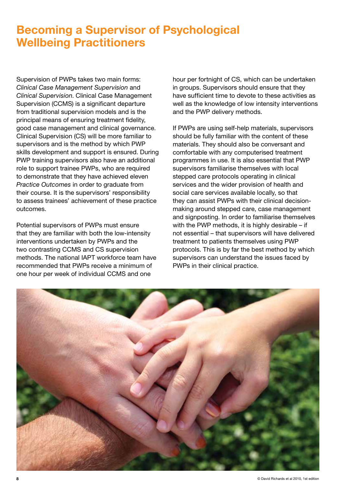# Becoming a Supervisor of Psychological Wellbeing Practitioners

Supervision of PWPs takes two main forms: *Clinical Case Management Supervision* and *Clinical Supervision*. Clinical Case Management Supervision (CCMS) is a significant departure from traditional supervision models and is the principal means of ensuring treatment fidelity, good case management and clinical governance. Clinical Supervision (CS) will be more familiar to supervisors and is the method by which PWP skills development and support is ensured. During PWP training supervisors also have an additional role to support trainee PWPs, who are required to demonstrate that they have achieved eleven *Practice Outcomes* in order to graduate from their course. It is the supervisors' responsibility to assess trainees' achievement of these practice outcomes.

Potential supervisors of PWPs must ensure that they are familiar with both the low-intensity interventions undertaken by PWPs and the two contrasting CCMS and CS supervision methods. The national IAPT workforce team have recommended that PWPs receive a minimum of one hour per week of individual CCMS and one

hour per fortnight of CS, which can be undertaken in groups. Supervisors should ensure that they have sufficient time to devote to these activities as well as the knowledge of low intensity interventions and the PWP delivery methods.

If PWPs are using self-help materials, supervisors should be fully familiar with the content of these materials. They should also be conversant and comfortable with any computerised treatment programmes in use. It is also essential that PWP supervisors familiarise themselves with local stepped care protocols operating in clinical services and the wider provision of health and social care services available locally, so that they can assist PWPs with their clinical decisionmaking around stepped care, case management and signposting. In order to familiarise themselves with the PWP methods, it is highly desirable – if not essential – that supervisors will have delivered treatment to patients themselves using PWP protocols. This is by far the best method by which supervisors can understand the issues faced by PWPs in their clinical practice.

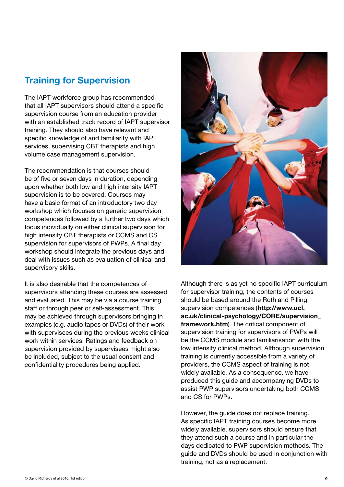## Training for Supervision

The IAPT workforce group has recommended that all IAPT supervisors should attend a specific supervision course from an education provider with an established track record of IAPT supervisor training. They should also have relevant and specific knowledge of and familiarity with IAPT services, supervising CBT therapists and high volume case management supervision.

The recommendation is that courses should be of five or seven days in duration, depending upon whether both low and high intensity IAPT supervision is to be covered. Courses may have a basic format of an introductory two day workshop which focuses on generic supervision competences followed by a further two days which focus individually on either clinical supervision for high intensity CBT therapists or CCMS and CS supervision for supervisors of PWPs. A final day workshop should integrate the previous days and deal with issues such as evaluation of clinical and supervisory skills.

It is also desirable that the competences of supervisors attending these courses are assessed and evaluated. This may be via a course training staff or through peer or self-assessment. This may be achieved through supervisors bringing in examples (e.g. audio tapes or DVDs) of their work with supervisees during the previous weeks clinical work within services. Ratings and feedback on supervision provided by supervisees might also be included, subject to the usual consent and confidentiality procedures being applied.



Although there is as yet no specific IAPT curriculum for supervisor training, the contents of courses should be based around the Roth and Pilling supervision competences (http://www.ucl. ac.uk/clinical-psychology/CORE/supervision\_ framework.htm). The critical component of supervision training for supervisors of PWPs will be the CCMS module and familiarisation with the low intensity clinical method. Although supervision training is currently accessible from a variety of providers, the CCMS aspect of training is not widely available. As a consequence, we have produced this guide and accompanying DVDs to assist PWP supervisors undertaking both CCMS and CS for PWPs.

However, the guide does not replace training. As specific IAPT training courses become more widely available, supervisors should ensure that they attend such a course and in particular the days dedicated to PWP supervision methods. The guide and DVDs should be used in conjunction with training, not as a replacement.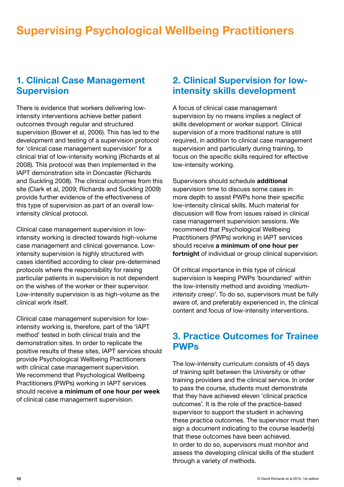# Supervising Psychological Wellbeing Practitioners

#### 1. Clinical Case Management **Supervision**

There is evidence that workers delivering lowintensity interventions achieve better patient outcomes through regular and structured supervision (Bower et al, 2006). This has led to the development and testing of a supervision protocol for 'clinical case management supervision' for a clinical trial of low-intensity working (Richards et al 2008). This protocol was then implemented in the IAPT demonstration site in Doncaster (Richards and Suckling 2008). The clinical outcomes from this site (Clark et al, 2009; Richards and Suckling 2009) provide further evidence of the effectiveness of this type of supervision as part of an overall lowintensity clinical protocol.

Clinical case management supervision in lowintensity working is directed towards high-volume case management and clinical governance. Lowintensity supervision is highly structured with cases identified according to clear pre-determined protocols where the responsibility for raising particular patients in supervision is not dependent on the wishes of the worker or their supervisor. Low-intensity supervision is as high-volume as the clinical work itself.

Clinical case management supervision for lowintensity working is, therefore, part of the 'IAPT method' tested in both clinical trials and the demonstration sites. In order to replicate the positive results of these sites, IAPT services should provide Psychological Wellbeing Practitioners with clinical case management supervision. We recommend that Psychological Wellbeing Practitioners (PWPs) working in IAPT services should receive a minimum of one hour per week of clinical case management supervision.

#### 2. Clinical Supervision for lowintensity skills development

A focus of clinical case management supervision by no means implies a neglect of skills development or worker support. Clinical supervision of a more traditional nature is still required, in addition to clinical case management supervision and particularly during training, to focus on the specific skills required for effective low-intensity working.

Supervisors should schedule additional supervision time to discuss some cases in more depth to assist PWPs hone their specific low-intensity clinical skills. Much material for discussion will flow from issues raised in clinical case management supervision sessions. We recommend that Psychological Wellbeing Practitioners (PWPs) working in IAPT services should receive a minimum of one hour per fortnight of individual or group clinical supervision.

Of critical importance in this type of clinical supervision is keeping PWPs 'boundaried' within the low-intensity method and avoiding '*mediumintensity creep*'. To do so, supervisors must be fully aware of, and preferably experienced in, the clinical content and focus of low-intensity interventions.

#### 3. Practice Outcomes for Trainee PWPs

The low-intensity curriculum consists of 45 days of training split between the University or other training providers and the clinical service. In order to pass the course, students must demonstrate that they have achieved eleven 'clinical practice outcomes'. It is the role of the practice-based supervisor to support the student in achieving these practice outcomes. The supervisor must then sign a document indicating to the course leader(s) that these outcomes have been achieved. In order to do so, supervisors must monitor and assess the developing clinical skills of the student through a variety of methods.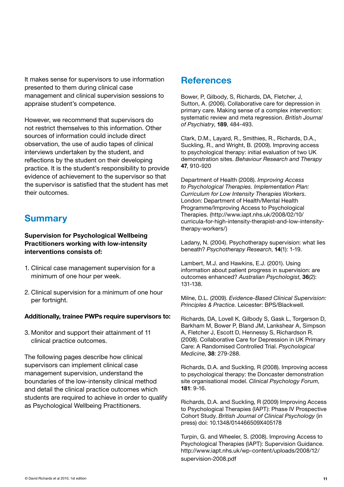It makes sense for supervisors to use information presented to them during clinical case management and clinical supervision sessions to appraise student's competence.

However, we recommend that supervisors do not restrict themselves to this information. Other sources of information could include direct observation, the use of audio tapes of clinical interviews undertaken by the student, and reflections by the student on their developing practice. It is the student's responsibility to provide evidence of achievement to the supervisor so that the supervisor is satisfied that the student has met their outcomes.

## **Summary**

#### Supervision for Psychological Wellbeing Practitioners working with low-intensity interventions consists of:

- 1. Clinical case management supervision for a minimum of one hour per week.
- 2. Clinical supervision for a minimum of one hour per fortnight.

#### Additionally, trainee PWPs require supervisors to:

3. Monitor and support their attainment of 11 clinical practice outcomes.

The following pages describe how clinical supervisors can implement clinical case management supervision, understand the boundaries of the low-intensity clinical method and detail the clinical practice outcomes which students are required to achieve in order to qualify as Psychological Wellbeing Practitioners.

#### **References**

Bower, P, Gilbody, S, Richards, DA, Fletcher, J, Sutton, A. (2006). Collaborative care for depression in primary care. Making sense of a complex intervention: systematic review and meta regression. *British Journal of Psychiatry*, 189, 484-493.

Clark, D.M., Layard, R., Smithies, R., Richards, D.A., Suckling, R., and Wright, B. (2009). Improving access to psychological therapy: initial evaluation of two UK demonstration sites. *Behaviour Research and Therapy*  47, 910-920

Department of Health (2008). *Improving Access to Psychological Therapies. Implementation Plan: Curriculum for Low Intensity Therapies Workers*. London: Department of Health/Mental Health Programme/Improving Access to Psychological Therapies. (http://www.iapt.nhs.uk/2008/02/10/ curricula-for-high-intensity-therapist-and-low-intensitytherapy-workers/)

Ladany, N. (2004). Psychotherapy supervision: what lies beneath? *Psychotherapy Research*, 14(1): 1-19.

Lambert, M.J. and Hawkins, E.J. (2001). Using information about patient progress in supervision: are outcomes enhanced? *Australian Psychologist*, 36(2): 131-138.

Milne, D.L. (2009). *Evidence-Based Clinical Supervision: Principles & Practice*. Leicester: BPS/Blackwell.

Richards, DA, Lovell K, Gilbody S, Gask L, Torgerson D, Barkham M, Bower P, Bland JM, Lankshear A, Simpson A, Fletcher J, Escott D, Hennessy S, Richardson R. (2008). Collaborative Care for Depression in UK Primary Care: A Randomised Controlled Trial. *Psychological Medicine*, 38: 279-288.

Richards, D.A. and Suckling, R (2008). Improving access to psychological therapy: the Doncaster demonstration site organisational model. *Clinical Psychology Forum*, 181: 9-16.

Richards, D.A. and Suckling, R (2009) Improving Access to Psychological Therapies (IAPT): Phase IV Prospective Cohort Study. *British Journal of Clinical Psychology* (in press) doi: 10.1348/014466509X405178

Turpin, G. and Wheeler, S. (2008). Improving Access to Psychological Therapies (IAPT): Supervision Guidance. http://www.iapt.nhs.uk/wp-content/uploads/2008/12/ supervision-2008.pdf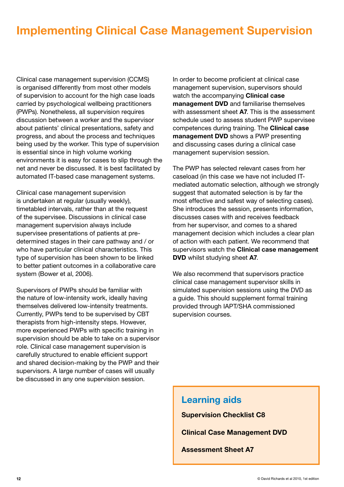# Implementing Clinical Case Management Supervision

Clinical case management supervision (CCMS) is organised differently from most other models of supervision to account for the high case loads carried by psychological wellbeing practitioners (PWPs). Nonetheless, all supervision requires discussion between a worker and the supervisor about patients' clinical presentations, safety and progress, and about the process and techniques being used by the worker. This type of supervision is essential since in high volume working environments it is easy for cases to slip through the net and never be discussed. It is best facilitated by automated IT-based case management systems.

Clinical case management supervision is undertaken at regular (usually weekly), timetabled intervals, rather than at the request of the supervisee. Discussions in clinical case management supervision always include supervisee presentations of patients at predetermined stages in their care pathway and / or who have particular clinical characteristics. This type of supervision has been shown to be linked to better patient outcomes in a collaborative care system (Bower et al, 2006).

Supervisors of PWPs should be familiar with the nature of low-intensity work, ideally having themselves delivered low-intensity treatments. Currently, PWPs tend to be supervised by CBT therapists from high-intensity steps. However, more experienced PWPs with specific training in supervision should be able to take on a supervisor role. Clinical case management supervision is carefully structured to enable efficient support and shared decision-making by the PWP and their supervisors. A large number of cases will usually be discussed in any one supervision session.

In order to become proficient at clinical case management supervision, supervisors should watch the accompanying **Clinical case** management DVD and familiarise themselves with assessment sheet A7. This is the assessment schedule used to assess student PWP supervisee competences during training. The Clinical case management DVD shows a PWP presenting and discussing cases during a clinical case management supervision session.

The PWP has selected relevant cases from her caseload (in this case we have not included ITmediated automatic selection, although we strongly suggest that automated selection is by far the most effective and safest way of selecting cases). She introduces the session, presents information, discusses cases with and receives feedback from her supervisor, and comes to a shared management decision which includes a clear plan of action with each patient. We recommend that supervisors watch the **Clinical case management** DVD whilst studying sheet A7.

We also recommend that supervisors practice clinical case management supervisor skills in simulated supervision sessions using the DVD as a guide. This should supplement formal training provided through IAPT/SHA commissioned supervision courses.

#### Learning aids

Supervision Checklist C8

Clinical Case Management DVD

Assessment Sheet A7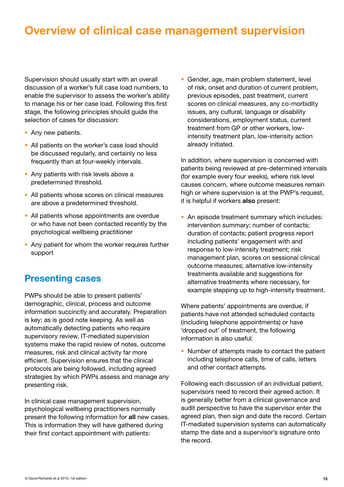# Overview of clinical case management supervision

Supervision should usually start with an overall discussion of a worker's full case load numbers, to enable the supervisor to assess the worker's ability to manage his or her case load. Following this first stage, the following principles should guide the selection of cases for discussion:

- Any new patients.
- All patients on the worker's case load should be discussed regularly, and certainly no less frequently than at four-weekly intervals.
- Any patients with risk levels above a predetermined threshold.
- All patients whose scores on clinical measures are above a predetermined threshold.
- All patients whose appointments are overdue or who have not been contacted recently by the psychological wellbeing practitioner
- Any patient for whom the worker requires further support

#### Presenting cases

PWPs should be able to present patients' demographic, clinical, process and outcome information succinctly and accurately. Preparation is key; as is good note keeping. As well as automatically detecting patients who require supervisory review, IT-mediated supervision systems make the rapid review of notes, outcome measures, risk and clinical activity far more efficient. Supervision ensures that the clinical protocols are being followed, including agreed strategies by which PWPs assess and manage any presenting risk.

In clinical case management supervision, psychological wellbeing practitioners normally present the following information for all new cases. This is information they will have gathered during their first contact appointment with patients:

• Gender, age, main problem statement, level of risk, onset and duration of current problem, previous episodes, past treatment, current scores on clinical measures, any co-morbidity issues, any cultural, language or disability considerations, employment status, current treatment from GP or other workers, lowintensity treatment plan, low-intensity action already initiated.

In addition, where supervision is concerned with patients being reviewed at pre-determined intervals (for example every four weeks), where risk level causes concern, where outcome measures remain high or where supervision is at the PWP's request, it is helpful if workers also present:

• An episode treatment summary which includes: intervention summary; number of contacts; duration of contacts; patient progress report including patients' engagement with and response to low-intensity treatment; risk management plan, scores on sessional clinical outcome measures; alternative low-intensity treatments available and suggestions for alternative treatments where necessary, for example stepping up to high-intensity treatment.

Where patients' appointments are overdue, if patients have not attended scheduled contacts (including telephone appointments) or have 'dropped out' of treatment, the following information is also useful:

• Number of attempts made to contact the patient including telephone calls, time of calls, letters and other contact attempts.

Following each discussion of an individual patient, supervisors need to record their agreed action. It is generally better from a clinical governance and audit perspective to have the supervisor enter the agreed plan, then sign and date the record. Certain IT-mediated supervision systems can automatically stamp the date and a supervisor's signature onto the record.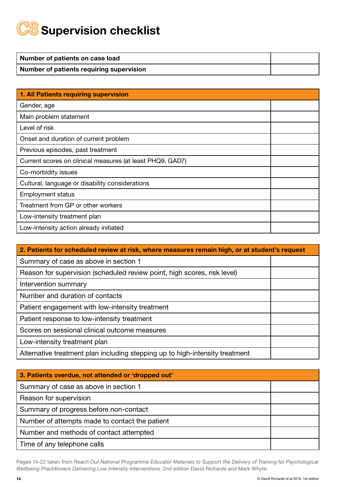# **C8** Supervision checklist

| Number of patients on case load          |  |
|------------------------------------------|--|
| Number of patients requiring supervision |  |

| 1. All Patients requiring supervision                     |  |
|-----------------------------------------------------------|--|
| Gender, age                                               |  |
| Main problem statement                                    |  |
| Level of risk                                             |  |
| Onset and duration of current problem                     |  |
| Previous episodes, past treatment                         |  |
| Current scores on clinical measures (at least PHQ9, GAD7) |  |
| Co-morbidity issues                                       |  |
| Cultural, language or disability considerations           |  |
| <b>Employment status</b>                                  |  |
| Treatment from GP or other workers                        |  |
| Low-intensity treatment plan                              |  |
| Low-intensity action already initiated                    |  |

| 2. Patients for scheduled review at risk, where measures remain high, or at student's request |  |  |  |
|-----------------------------------------------------------------------------------------------|--|--|--|
| Summary of case as above in section 1                                                         |  |  |  |
| Reason for supervision (scheduled review point, high scores, risk level)                      |  |  |  |
| Intervention summary                                                                          |  |  |  |
| Number and duration of contacts                                                               |  |  |  |
| Patient engagement with low-intensity treatment                                               |  |  |  |
| Patient response to low-intensity treatment                                                   |  |  |  |
| Scores on sessional clinical outcome measures                                                 |  |  |  |
| Low-intensity treatment plan                                                                  |  |  |  |
| Alternative treatment plan including stepping up to high-intensity treatment                  |  |  |  |

| 3. Patients overdue, not attended or 'dropped out' |  |  |  |
|----------------------------------------------------|--|--|--|
| Summary of case as above in section 1              |  |  |  |
| Reason for supervision                             |  |  |  |
| Summary of progress before non-contact             |  |  |  |
| Number of attempts made to contact the patient     |  |  |  |
| Number and methods of contact attempted            |  |  |  |
| Time of any telephone calls                        |  |  |  |

Pages 14-22 taken from *Reach Out National Programme Educator Materials to Support the Delivery of Training for Psychological Wellbeing Practitioners Delivering Low Intensity Interventions*. 2nd edition David Richards and Mark Whyte.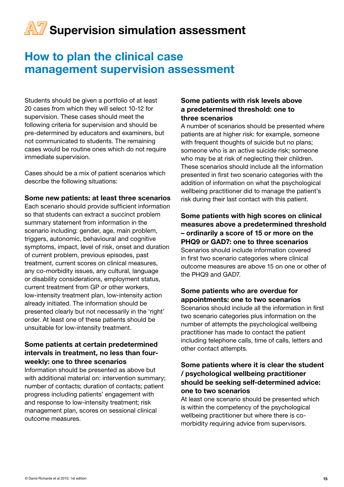# How to plan the clinical case management supervision assessment

Students should be given a portfolio of at least 20 cases from which they will select 10-12 for supervision. These cases should meet the following criteria for supervision and should be pre-determined by educators and examiners, but not communicated to students. The remaining cases would be routine ones which do not require immediate supervision.

Cases should be a mix of patient scenarios which describe the following situations:

#### Some new patients: at least three scenarios

Each scenario should provide sufficient information so that students can extract a succinct problem summary statement from information in the scenario including: gender, age, main problem, triggers, autonomic, behavioural and cognitive symptoms, impact, level of risk, onset and duration of current problem, previous episodes, past treatment, current scores on clinical measures, any co-morbidity issues, any cultural, language or disability considerations, employment status, current treatment from GP or other workers, low-intensity treatment plan, low-intensity action already initiated. The information should be presented clearly but not necessarily in the 'right' order. At least one of these patients should be unsuitable for low-intensity treatment.

#### Some patients at certain predetermined intervals in treatment, no less than fourweekly: one to three scenarios

Information should be presented as above but with additional material on: intervention summary; number of contacts; duration of contacts; patient progress including patients' engagement with and response to low-intensity treatment; risk management plan, scores on sessional clinical outcome measures.

#### Some patients with risk levels above a predetermined threshold: one to three scenarios

A number of scenarios should be presented where patients are at higher risk: for example, someone with frequent thoughts of suicide but no plans; someone who is an active suicide risk; someone who may be at risk of neglecting their children. These scenarios should include all the information presented in first two scenario categories with the addition of information on what the psychological wellbeing practitioner did to manage the patient's risk during their last contact with this patient.

Some patients with high scores on clinical measures above a predetermined threshold – ordinarily a score of 15 or more on the PHQ9 or GAD7: one to three scenarios Scenarios should include information covered in first two scenario categories where clinical outcome measures are above 15 on one or other of the PHQ9 and GAD7.

#### Some patients who are overdue for appointments: one to two scenarios

Scenarios should include all the information in first two scenario categories plus information on the number of attempts the psychological wellbeing practitioner has made to contact the patient including telephone calls, time of calls, letters and other contact attempts.

#### Some patients where it is clear the student / psychological wellbeing practitioner should be seeking self-determined advice: one to two scenarios

At least one scenario should be presented which is within the competency of the psychological wellbeing practitioner but where there is comorbidity requiring advice from supervisors.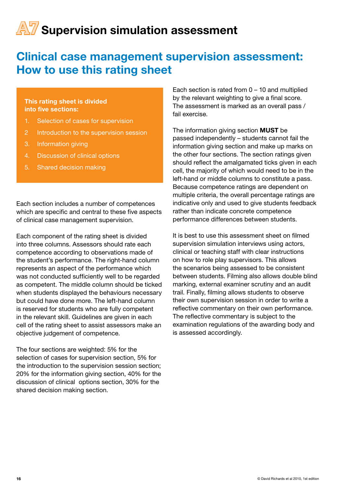# Clinical case management supervision assessment: How to use this rating sheet

#### This rating sheet is divided into five sections:

- 1. Selection of cases for supervision
- 2 Introduction to the supervision session
- 3. Information giving
- 4. Discussion of clinical options
- 5. Shared decision making

Each section includes a number of competences which are specific and central to these five aspects of clinical case management supervision.

Each component of the rating sheet is divided into three columns. Assessors should rate each competence according to observations made of the student's performance. The right-hand column represents an aspect of the performance which was not conducted sufficiently well to be regarded as competent. The middle column should be ticked when students displayed the behaviours necessary but could have done more. The left-hand column is reserved for students who are fully competent in the relevant skill. Guidelines are given in each cell of the rating sheet to assist assessors make an objective judgement of competence.

The four sections are weighted: 5% for the selection of cases for supervision section, 5% for the introduction to the supervision session section; 20% for the information giving section, 40% for the discussion of clinical options section, 30% for the shared decision making section.

Each section is rated from  $0 - 10$  and multiplied by the relevant weighting to give a final score. The assessment is marked as an overall pass / fail exercise.

The information giving section MUST be passed independently – students cannot fail the information giving section and make up marks on the other four sections. The section ratings given should reflect the amalgamated ticks given in each cell, the majority of which would need to be in the left-hand or middle columns to constitute a pass. Because competence ratings are dependent on multiple criteria, the overall percentage ratings are indicative only and used to give students feedback rather than indicate concrete competence performance differences between students.

It is best to use this assessment sheet on filmed supervision simulation interviews using actors, clinical or teaching staff with clear instructions on how to role play supervisors. This allows the scenarios being assessed to be consistent between students. Filming also allows double blind marking, external examiner scrutiny and an audit trail. Finally, filming allows students to observe their own supervision session in order to write a reflective commentary on their own performance. The reflective commentary is subject to the examination regulations of the awarding body and is assessed accordingly.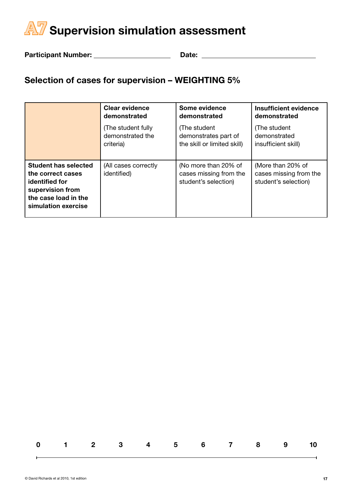Participant Number: Date:

## Selection of cases for supervision – WEIGHTING 5%

|                                                                                                                                | <b>Clear evidence</b>               | Some evidence                                                          | <b>Insufficient evidence</b>                                        |
|--------------------------------------------------------------------------------------------------------------------------------|-------------------------------------|------------------------------------------------------------------------|---------------------------------------------------------------------|
|                                                                                                                                | demonstrated                        | demonstrated                                                           | demonstrated                                                        |
|                                                                                                                                | (The student fully                  | (The student                                                           | (The student                                                        |
|                                                                                                                                | demonstrated the                    | demonstrates part of                                                   | demonstrated                                                        |
|                                                                                                                                | criteria)                           | the skill or limited skill)                                            | insufficient skill)                                                 |
| Student has selected<br>the correct cases<br>identified for<br>supervision from<br>the case load in the<br>simulation exercise | (All cases correctly<br>identified) | (No more than 20% of<br>cases missing from the<br>student's selection) | (More than 20% of<br>cases missing from the<br>student's selection) |

|  |  | 0 1 2 3 4 5 6 7 8 9 10 |  |  |  |
|--|--|------------------------|--|--|--|
|  |  |                        |  |  |  |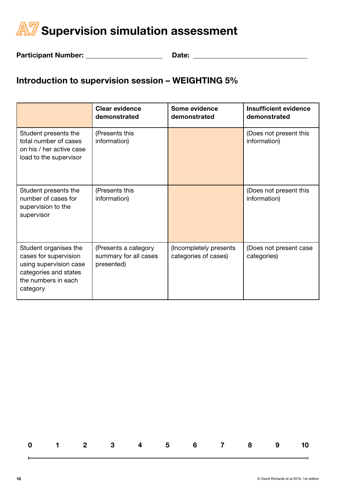

Participant Number: Date:

## Introduction to supervision session – WEIGHTING 5%

|                                                                                                                                      | <b>Clear evidence</b><br>demonstrated                       | Some evidence<br>demonstrated                  | Insufficient evidence<br>demonstrated  |
|--------------------------------------------------------------------------------------------------------------------------------------|-------------------------------------------------------------|------------------------------------------------|----------------------------------------|
| Student presents the<br>total number of cases<br>on his / her active case<br>load to the supervisor                                  | (Presents this<br>information)                              |                                                | (Does not present this<br>information) |
| Student presents the<br>number of cases for<br>supervision to the<br>supervisor                                                      | (Presents this<br>information)                              |                                                | (Does not present this<br>information) |
| Student organises the<br>cases for supervision<br>using supervision case<br>categories and states<br>the numbers in each<br>category | (Presents a category<br>summary for all cases<br>presented) | (Incompletely presents<br>categories of cases) | (Does not present case<br>categories)  |

 $\overline{\phantom{0}}$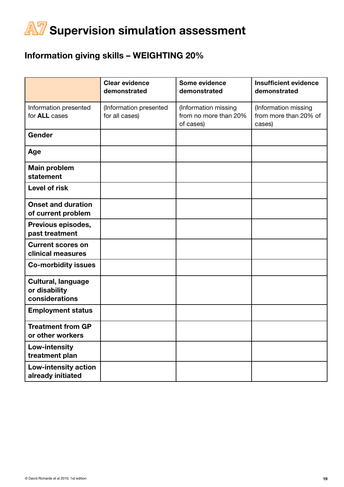## Information giving skills – WEIGHTING 20%

|                                                              | <b>Clear evidence</b><br>demonstrated    | Some evidence<br>demonstrated                              | <b>Insufficient evidence</b><br>demonstrated            |
|--------------------------------------------------------------|------------------------------------------|------------------------------------------------------------|---------------------------------------------------------|
| Information presented<br>for <b>ALL</b> cases                | (Information presented<br>for all cases) | (Information missing<br>from no more than 20%<br>of cases) | (Information missing<br>from more than 20% of<br>cases) |
| Gender                                                       |                                          |                                                            |                                                         |
| Age                                                          |                                          |                                                            |                                                         |
| <b>Main problem</b><br>statement                             |                                          |                                                            |                                                         |
| <b>Level of risk</b>                                         |                                          |                                                            |                                                         |
| <b>Onset and duration</b><br>of current problem              |                                          |                                                            |                                                         |
| Previous episodes,<br>past treatment                         |                                          |                                                            |                                                         |
| <b>Current scores on</b><br>clinical measures                |                                          |                                                            |                                                         |
| <b>Co-morbidity issues</b>                                   |                                          |                                                            |                                                         |
| <b>Cultural, language</b><br>or disability<br>considerations |                                          |                                                            |                                                         |
| <b>Employment status</b>                                     |                                          |                                                            |                                                         |
| <b>Treatment from GP</b><br>or other workers                 |                                          |                                                            |                                                         |
| Low-intensity<br>treatment plan                              |                                          |                                                            |                                                         |
| Low-intensity action<br>already initiated                    |                                          |                                                            |                                                         |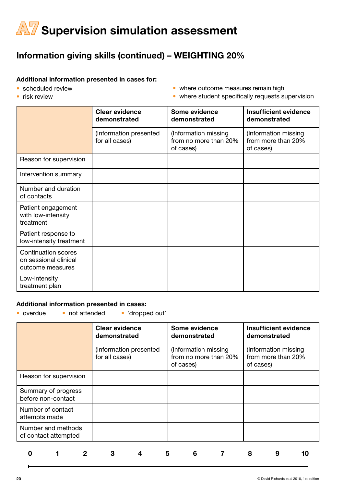## Information giving skills (continued) – WEIGHTING 20%

#### Additional information presented in cases for:

• scheduled review

• where outcome measures remain high

• risk review

• where student specifically requests supervision

|                                                                         | <b>Clear evidence</b><br>demonstrated    | Some evidence<br>demonstrated                              | <b>Insufficient evidence</b><br>demonstrated            |
|-------------------------------------------------------------------------|------------------------------------------|------------------------------------------------------------|---------------------------------------------------------|
|                                                                         | (Information presented<br>for all cases) | (Information missing<br>from no more than 20%<br>of cases) | (Information missing<br>from more than 20%<br>of cases) |
| Reason for supervision                                                  |                                          |                                                            |                                                         |
| Intervention summary                                                    |                                          |                                                            |                                                         |
| Number and duration<br>of contacts                                      |                                          |                                                            |                                                         |
| Patient engagement<br>with low-intensity<br>treatment                   |                                          |                                                            |                                                         |
| Patient response to<br>low-intensity treatment                          |                                          |                                                            |                                                         |
| <b>Continuation scores</b><br>on sessional clinical<br>outcome measures |                                          |                                                            |                                                         |
| Low-intensity<br>treatment plan                                         |                                          |                                                            |                                                         |

#### Additional information presented in cases:

• overdue • not attended • 'dropped out'

|                                            | <b>Clear evidence</b><br>demonstrated    | Some evidence<br>demonstrated                              | <b>Insufficient evidence</b><br>demonstrated            |
|--------------------------------------------|------------------------------------------|------------------------------------------------------------|---------------------------------------------------------|
|                                            | (Information presented<br>for all cases) | (Information missing<br>from no more than 20%<br>of cases) | (Information missing<br>from more than 20%<br>of cases) |
| Reason for supervision                     |                                          |                                                            |                                                         |
| Summary of progress<br>before non-contact  |                                          |                                                            |                                                         |
| Number of contact<br>attempts made         |                                          |                                                            |                                                         |
| Number and methods<br>of contact attempted |                                          |                                                            |                                                         |
|                                            |                                          | 5<br>6                                                     | 8<br>9                                                  |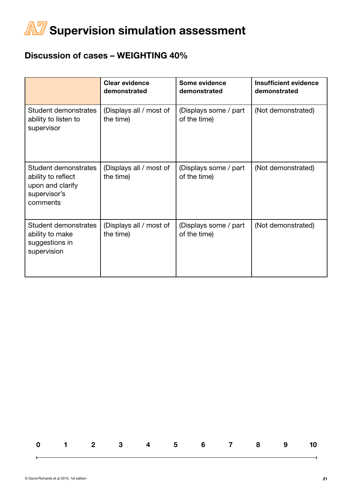#### Discussion of cases – WEIGHTING 40%

|                                                                                            | <b>Clear evidence</b><br>demonstrated | Some evidence<br>demonstrated         | <b>Insufficient evidence</b><br>demonstrated |
|--------------------------------------------------------------------------------------------|---------------------------------------|---------------------------------------|----------------------------------------------|
| Student demonstrates<br>ability to listen to<br>supervisor                                 | (Displays all / most of<br>the time)  | (Displays some / part<br>of the time) | (Not demonstrated)                           |
| Student demonstrates<br>ability to reflect<br>upon and clarify<br>supervisor's<br>comments | (Displays all / most of<br>the time)  | (Displays some / part<br>of the time) | (Not demonstrated)                           |
| <b>Student demonstrates</b><br>ability to make<br>suggestions in<br>supervision            | (Displays all / most of<br>the time)  | (Displays some / part<br>of the time) | (Not demonstrated)                           |

|  |  | 0 1 2 3 4 5 6 7 8 9 10 |  |  |  |
|--|--|------------------------|--|--|--|
|  |  |                        |  |  |  |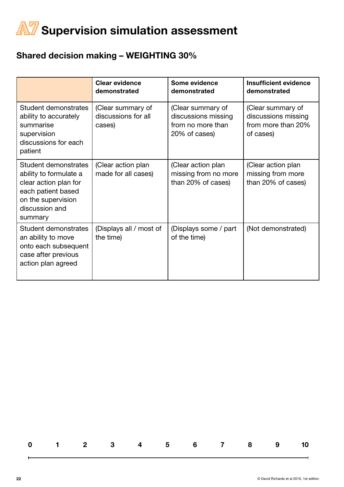## Shared decision making – WEIGHTING 30%

|                                                                                                                                                  | <b>Clear evidence</b><br>demonstrated              | Some evidence<br>demonstrated                                                  | <b>Insufficient evidence</b><br>demonstrated                                |
|--------------------------------------------------------------------------------------------------------------------------------------------------|----------------------------------------------------|--------------------------------------------------------------------------------|-----------------------------------------------------------------------------|
| Student demonstrates<br>ability to accurately<br>summarise<br>supervision<br>discussions for each<br>patient                                     | (Clear summary of<br>discussions for all<br>cases) | (Clear summary of<br>discussions missing<br>from no more than<br>20% of cases) | (Clear summary of<br>discussions missing<br>from more than 20%<br>of cases) |
| Student demonstrates<br>ability to formulate a<br>clear action plan for<br>each patient based<br>on the supervision<br>discussion and<br>summary | (Clear action plan<br>made for all cases)          | (Clear action plan<br>missing from no more<br>than 20% of cases)               | (Clear action plan<br>missing from more<br>than 20% of cases)               |
| <b>Student demonstrates</b><br>an ability to move<br>onto each subsequent<br>case after previous<br>action plan agreed                           | (Displays all / most of<br>the time)               | (Displays some / part<br>of the time)                                          | (Not demonstrated)                                                          |

|  |  |  | 0 1 2 3 4 5 6 7 8 9 10 |  |  |
|--|--|--|------------------------|--|--|
|  |  |  |                        |  |  |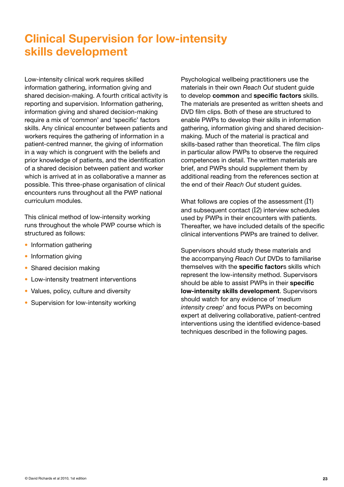# Clinical Supervision for low-intensity skills development

Low-intensity clinical work requires skilled information gathering, information giving and shared decision-making. A fourth critical activity is reporting and supervision. Information gathering, information giving and shared decision-making require a mix of 'common' and 'specific' factors skills. Any clinical encounter between patients and workers requires the gathering of information in a patient-centred manner, the giving of information in a way which is congruent with the beliefs and prior knowledge of patients, and the identification of a shared decision between patient and worker which is arrived at in as collaborative a manner as possible. This three-phase organisation of clinical encounters runs throughout all the PWP national curriculum modules.

This clinical method of low-intensity working runs throughout the whole PWP course which is structured as follows:

- Information gathering
- Information giving
- Shared decision making
- Low-intensity treatment interventions
- Values, policy, culture and diversity
- Supervision for low-intensity working

Psychological wellbeing practitioners use the materials in their own *Reach Out* student guide to develop common and specific factors skills. The materials are presented as written sheets and DVD film clips. Both of these are structured to enable PWPs to develop their skills in information gathering, information giving and shared decisionmaking. Much of the material is practical and skills-based rather than theoretical. The film clips in particular allow PWPs to observe the required competences in detail. The written materials are brief, and PWPs should supplement them by additional reading from the references section at the end of their *Reach Out* student guides.

What follows are copies of the assessment (I1) and subsequent contact (I2) interview schedules used by PWPs in their encounters with patients. Thereafter, we have included details of the specific clinical interventions PWPs are trained to deliver.

Supervisors should study these materials and the accompanying *Reach Out* DVDs to familiarise themselves with the specific factors skills which represent the low-intensity method. Supervisors should be able to assist PWPs in their specific low-intensity skills development. Supervisors should watch for any evidence of '*medium intensity creep*' and focus PWPs on becoming expert at delivering collaborative, patient-centred interventions using the identified evidence-based techniques described in the following pages.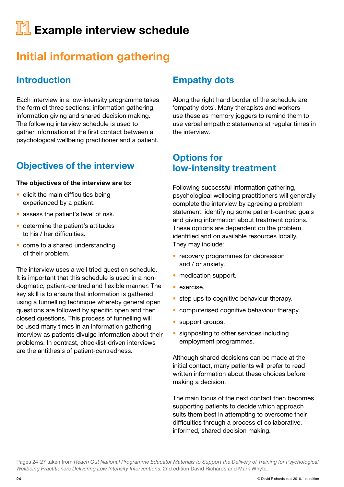# **II** Example interview schedule

# Initial information gathering

## Introduction

Each interview in a low-intensity programme takes the form of three sections: information gathering, information giving and shared decision making. The following interview schedule is used to gather information at the first contact between a psychological wellbeing practitioner and a patient.

## Objectives of the interview

#### The objectives of the interview are to:

- elicit the main difficulties being experienced by a patient.
- assess the patient's level of risk.
- determine the patient's attitudes to his / her difficulties.
- come to a shared understanding of their problem.

The interview uses a well tried question schedule. It is important that this schedule is used in a nondogmatic, patient-centred and flexible manner. The key skill is to ensure that information is gathered using a funnelling technique whereby general open questions are followed by specific open and then closed questions. This process of funnelling will be used many times in an information gathering interview as patients divulge information about their problems. In contrast, checklist-driven interviews are the antithesis of patient-centredness.

#### Empathy dots

Along the right hand border of the schedule are 'empathy dots'. Many therapists and workers use these as memory joggers to remind them to use verbal empathic statements at regular times in the interview.

#### Options for low-intensity treatment

Following successful information gathering, psychological wellbeing practitioners will generally complete the interview by agreeing a problem statement, identifying some patient-centred goals and giving information about treatment options. These options are dependent on the problem identified and on available resources locally. They may include:

- recovery programmes for depression and / or anxiety.
- medication support.
- exercise.
- step ups to cognitive behaviour therapy.
- computerised cognitive behaviour therapy.
- support groups.
- signposting to other services including employment programmes.

Although shared decisions can be made at the initial contact, many patients will prefer to read written information about these choices before making a decision.

The main focus of the next contact then becomes supporting patients to decide which approach suits them best in attempting to overcome their difficulties through a process of collaborative, informed, shared decision making.

Pages 24-27 taken from *Reach Out National Programme Educator Materials to Support the Delivery of Training for Psychological Wellbeing Practitioners Delivering Low Intensity Interventions*. 2nd edition David Richards and Mark Whyte.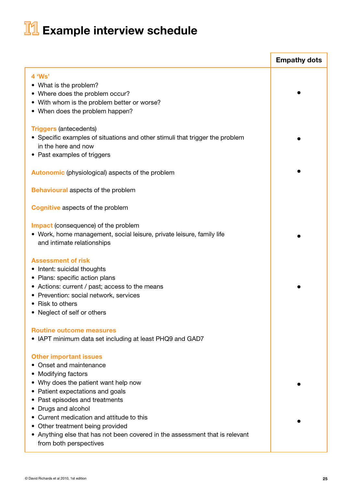# **I1** Example interview schedule

|                                                                                                                                                                                                                                                                                                                                                                                                                 | <b>Empathy dots</b> |
|-----------------------------------------------------------------------------------------------------------------------------------------------------------------------------------------------------------------------------------------------------------------------------------------------------------------------------------------------------------------------------------------------------------------|---------------------|
| 4 'Ws'<br>• What is the problem?<br>• Where does the problem occur?<br>• With whom is the problem better or worse?<br>• When does the problem happen?                                                                                                                                                                                                                                                           |                     |
| <b>Triggers (antecedents)</b><br>• Specific examples of situations and other stimuli that trigger the problem<br>in the here and now<br>• Past examples of triggers                                                                                                                                                                                                                                             |                     |
| <b>Autonomic</b> (physiological) aspects of the problem                                                                                                                                                                                                                                                                                                                                                         |                     |
| <b>Behavioural aspects of the problem</b>                                                                                                                                                                                                                                                                                                                                                                       |                     |
| <b>Cognitive aspects of the problem</b>                                                                                                                                                                                                                                                                                                                                                                         |                     |
| <b>Impact</b> (consequence) of the problem<br>• Work, home management, social leisure, private leisure, family life<br>and intimate relationships                                                                                                                                                                                                                                                               |                     |
| <b>Assessment of risk</b><br>• Intent: suicidal thoughts<br>• Plans: specific action plans<br>• Actions: current / past; access to the means<br>• Prevention: social network, services<br>• Risk to others<br>• Neglect of self or others                                                                                                                                                                       |                     |
| <b>Routine outcome measures</b><br>• IAPT minimum data set including at least PHQ9 and GAD7                                                                                                                                                                                                                                                                                                                     |                     |
| <b>Other important issues</b><br>• Onset and maintenance<br>• Modifying factors<br>• Why does the patient want help now<br>• Patient expectations and goals<br>• Past episodes and treatments<br>• Drugs and alcohol<br>• Current medication and attitude to this<br>• Other treatment being provided<br>• Anything else that has not been covered in the assessment that is relevant<br>from both perspectives |                     |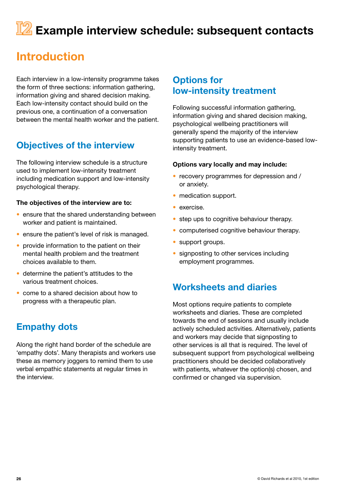# **IZ** Example interview schedule: subsequent contacts

# Introduction

Each interview in a low-intensity programme takes the form of three sections: information gathering, information giving and shared decision making. Each low-intensity contact should build on the previous one, a continuation of a conversation between the mental health worker and the patient.

## Objectives of the interview

The following interview schedule is a structure used to implement low-intensity treatment including medication support and low-intensity psychological therapy.

#### The objectives of the interview are to:

- ensure that the shared understanding between worker and patient is maintained.
- ensure the patient's level of risk is managed.
- provide information to the patient on their mental health problem and the treatment choices available to them.
- determine the patient's attitudes to the various treatment choices.
- come to a shared decision about how to progress with a therapeutic plan.

#### Empathy dots

Along the right hand border of the schedule are 'empathy dots'. Many therapists and workers use these as memory joggers to remind them to use verbal empathic statements at regular times in the interview.

#### Options for low-intensity treatment

Following successful information gathering, information giving and shared decision making, psychological wellbeing practitioners will generally spend the majority of the interview supporting patients to use an evidence-based lowintensity treatment.

#### Options vary locally and may include:

- recovery programmes for depression and / or anxiety.
- medication support.
- exercise.
- step ups to cognitive behaviour therapy.
- computerised cognitive behaviour therapy.
- support groups.
- signposting to other services including employment programmes.

#### Worksheets and diaries

Most options require patients to complete worksheets and diaries. These are completed towards the end of sessions and usually include actively scheduled activities. Alternatively, patients and workers may decide that signposting to other services is all that is required. The level of subsequent support from psychological wellbeing practitioners should be decided collaboratively with patients, whatever the option(s) chosen, and confirmed or changed via supervision.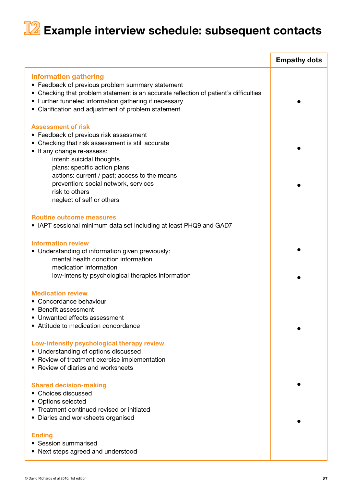# **I2** Example interview schedule: subsequent contacts

|                                                                                                                                                                                                                                                                                                                                                            | <b>Empathy dots</b> |
|------------------------------------------------------------------------------------------------------------------------------------------------------------------------------------------------------------------------------------------------------------------------------------------------------------------------------------------------------------|---------------------|
| <b>Information gathering</b><br>• Feedback of previous problem summary statement<br>• Checking that problem statement is an accurate reflection of patient's difficulties<br>• Further funneled information gathering if necessary<br>• Clarification and adjustment of problem statement                                                                  |                     |
| <b>Assessment of risk</b><br>• Feedback of previous risk assessment<br>• Checking that risk assessment is still accurate<br>• If any change re-assess:<br>intent: suicidal thoughts<br>plans: specific action plans<br>actions: current / past; access to the means<br>prevention: social network, services<br>risk to others<br>neglect of self or others |                     |
| <b>Routine outcome measures</b><br>• IAPT sessional minimum data set including at least PHQ9 and GAD7                                                                                                                                                                                                                                                      |                     |
| <b>Information review</b><br>• Understanding of information given previously:<br>mental health condition information<br>medication information<br>low-intensity psychological therapies information                                                                                                                                                        |                     |
| <b>Medication review</b><br>• Concordance behaviour<br>• Benefit assessment<br>• Unwanted effects assessment<br>• Attitude to medication concordance                                                                                                                                                                                                       |                     |
| Low-intensity psychological therapy review<br>• Understanding of options discussed<br>• Review of treatment exercise implementation<br>• Review of diaries and worksheets                                                                                                                                                                                  |                     |
| <b>Shared decision-making</b><br>• Choices discussed<br>• Options selected<br>• Treatment continued revised or initiated<br>• Diaries and worksheets organised                                                                                                                                                                                             |                     |
| <b>Ending</b><br>• Session summarised<br>• Next steps agreed and understood                                                                                                                                                                                                                                                                                |                     |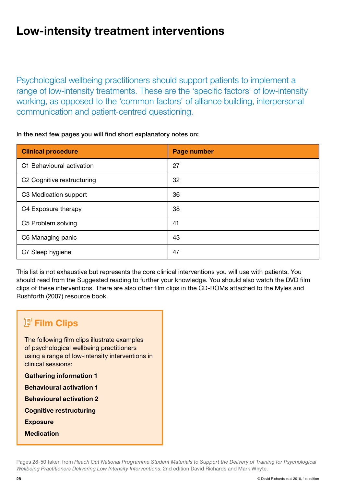# Low-intensity treatment interventions

Psychological wellbeing practitioners should support patients to implement a range of low-intensity treatments. These are the 'specific factors' of low-intensity working, as opposed to the 'common factors' of alliance building, interpersonal communication and patient-centred questioning.

| In the next few pages you will find short explanatory notes on: |  |  |
|-----------------------------------------------------------------|--|--|
|                                                                 |  |  |

| <b>Clinical procedure</b>              | <b>Page number</b> |
|----------------------------------------|--------------------|
| C1 Behavioural activation              | 27                 |
| C <sub>2</sub> Cognitive restructuring | 32                 |
| C3 Medication support                  | 36                 |
| C4 Exposure therapy                    | 38                 |
| C5 Problem solving                     | 41                 |
| C6 Managing panic                      | 43                 |
| C7 Sleep hygiene                       | 47                 |

This list is not exhaustive but represents the core clinical interventions you will use with patients. You should read from the Suggested reading to further your knowledge. You should also watch the DVD film clips of these interventions. There are also other film clips in the CD-ROMs attached to the Myles and Rushforth (2007) resource book.

# **F** Film Clips

The following film clips illustrate examples of psychological wellbeing practitioners using a range of low-intensity interventions in clinical sessions:

Gathering information 1

Behavioural activation 1

Behavioural activation 2

Cognitive restructuring

**Exposure** 

**Medication** 

Pages 28-50 taken from *Reach Out National Programme Student Materials to Support the Delivery of Training for Psychological Wellbeing Practitioners Delivering Low Intensity Interventions*. 2nd edition David Richards and Mark Whyte.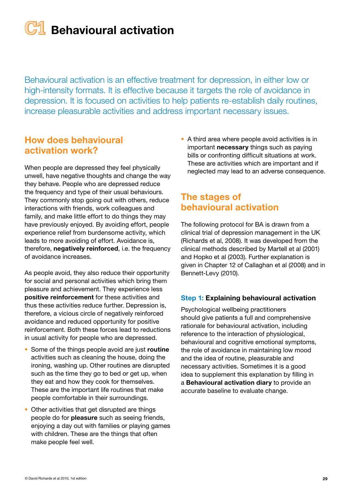# **C1** Behavioural activation

Behavioural activation is an effective treatment for depression, in either low or high-intensity formats. It is effective because it targets the role of avoidance in depression. It is focused on activities to help patients re-establish daily routines, increase pleasurable activities and address important necessary issues.

#### How does behavioural activation work?

When people are depressed they feel physically unwell, have negative thoughts and change the way they behave. People who are depressed reduce the frequency and type of their usual behaviours. They commonly stop going out with others, reduce interactions with friends, work colleagues and family, and make little effort to do things they may have previously enjoyed. By avoiding effort, people experience relief from burdensome activity, which leads to more avoiding of effort. Avoidance is, therefore, negatively reinforced, i.e. the frequency of avoidance increases.

As people avoid, they also reduce their opportunity for social and personal activities which bring them pleasure and achievement. They experience less positive reinforcement for these activities and thus these activities reduce further. Depression is, therefore, a vicious circle of negatively reinforced avoidance and reduced opportunity for positive reinforcement. Both these forces lead to reductions in usual activity for people who are depressed.

- Some of the things people avoid are just routine activities such as cleaning the house, doing the ironing, washing up. Other routines are disrupted such as the time they go to bed or get up, when they eat and how they cook for themselves. These are the important life routines that make people comfortable in their surroundings.
- Other activities that get disrupted are things people do for pleasure such as seeing friends, enjoying a day out with families or playing games with children. These are the things that often make people feel well.

• A third area where people avoid activities is in important necessary things such as paying bills or confronting difficult situations at work. These are activities which are important and if neglected may lead to an adverse consequence.

## The stages of behavioural activation

The following protocol for BA is drawn from a clinical trial of depression management in the UK (Richards et al, 2008). It was developed from the clinical methods described by Martell et al (2001) and Hopko et al (2003). Further explanation is given in Chapter 12 of Callaghan et al (2008) and in Bennett-Levy (2010).

#### Step 1: Explaining behavioural activation

Psychological wellbeing practitioners should give patients a full and comprehensive rationale for behavioural activation, including reference to the interaction of physiological, behavioural and cognitive emotional symptoms, the role of avoidance in maintaining low mood and the idea of routine, pleasurable and necessary activities. Sometimes it is a good idea to supplement this explanation by filling in a Behavioural activation diary to provide an accurate baseline to evaluate change.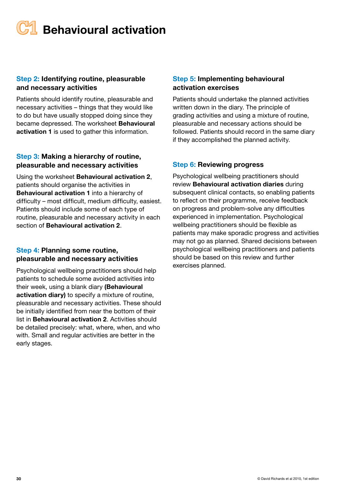# **Behavioural activation**

#### Step 2: Identifying routine, pleasurable and necessary activities

Patients should identify routine, pleasurable and necessary activities – things that they would like to do but have usually stopped doing since they became depressed. The worksheet **Behavioural** activation 1 is used to gather this information.

#### Step 3: Making a hierarchy of routine, pleasurable and necessary activities

Using the worksheet Behavioural activation 2, patients should organise the activities in Behavioural activation 1 into a hierarchy of difficulty – most difficult, medium difficulty, easiest. Patients should include some of each type of routine, pleasurable and necessary activity in each section of Behavioural activation 2.

#### Step 4: Planning some routine, pleasurable and necessary activities

Psychological wellbeing practitioners should help patients to schedule some avoided activities into their week, using a blank diary (Behavioural activation diary) to specify a mixture of routine, pleasurable and necessary activities. These should be initially identified from near the bottom of their list in Behavioural activation 2. Activities should be detailed precisely: what, where, when, and who with. Small and regular activities are better in the early stages.

#### Step 5: Implementing behavioural activation exercises

Patients should undertake the planned activities written down in the diary. The principle of grading activities and using a mixture of routine, pleasurable and necessary actions should be followed. Patients should record in the same diary if they accomplished the planned activity.

#### Step 6: Reviewing progress

Psychological wellbeing practitioners should review Behavioural activation diaries during subsequent clinical contacts, so enabling patients to reflect on their programme, receive feedback on progress and problem-solve any difficulties experienced in implementation. Psychological wellbeing practitioners should be flexible as patients may make sporadic progress and activities may not go as planned. Shared decisions between psychological wellbeing practitioners and patients should be based on this review and further exercises planned.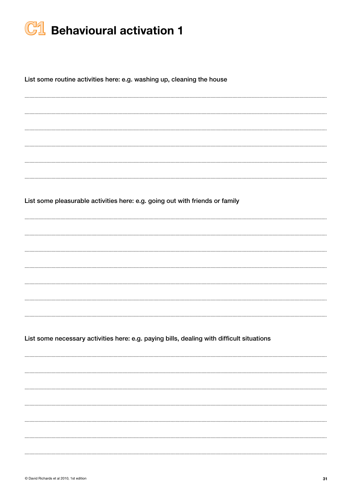

List some routine activities here: e.g. washing up, cleaning the house

List some pleasurable activities here: e.g. going out with friends or family

List some necessary activities here: e.g. paying bills, dealing with difficult situations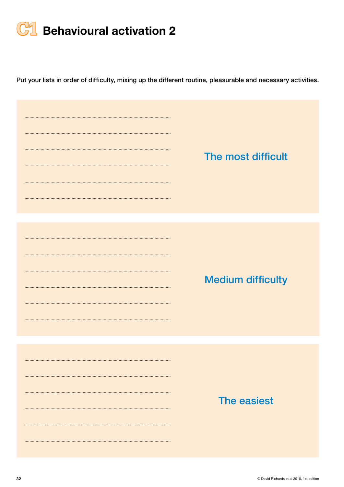

Put your lists in order of difficulty, mixing up the different routine, pleasurable and necessary activities.

| The most difficult       |
|--------------------------|
| <b>Medium difficulty</b> |
| The easiest              |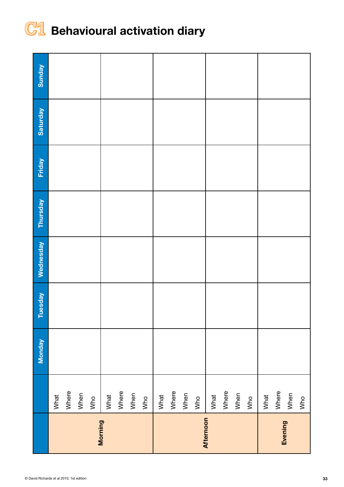

# **C1** Behavioural activation diary

|           |       | <b>Monday</b> | Tuesday | Wednesday | <b>Thursday</b> | <b>Friday</b> | Saturday | Sunday |
|-----------|-------|---------------|---------|-----------|-----------------|---------------|----------|--------|
|           | What  |               |         |           |                 |               |          |        |
|           | Where |               |         |           |                 |               |          |        |
|           | When  |               |         |           |                 |               |          |        |
|           | Who   |               |         |           |                 |               |          |        |
| Morning   | What  |               |         |           |                 |               |          |        |
|           | Where |               |         |           |                 |               |          |        |
|           | When  |               |         |           |                 |               |          |        |
|           | Who   |               |         |           |                 |               |          |        |
|           | What  |               |         |           |                 |               |          |        |
|           | Where |               |         |           |                 |               |          |        |
|           | When  |               |         |           |                 |               |          |        |
|           | Who   |               |         |           |                 |               |          |        |
| Afternoon | What  |               |         |           |                 |               |          |        |
|           | Where |               |         |           |                 |               |          |        |
|           | When  |               |         |           |                 |               |          |        |
|           | Who   |               |         |           |                 |               |          |        |
|           | What  |               |         |           |                 |               |          |        |
| Evening   | Where |               |         |           |                 |               |          |        |
|           | When  |               |         |           |                 |               |          |        |
|           | Who   |               |         |           |                 |               |          |        |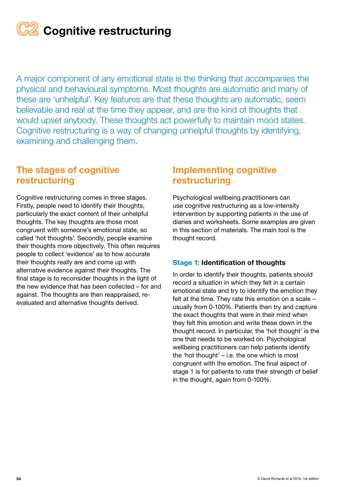**C22** Cognitive restructuring

A major component of any emotional state is the thinking that accompanies the physical and behavioural symptoms. Most thoughts are automatic and many of these are 'unhelpful'. Key features are that these thoughts are automatic, seem believable and real at the time they appear, and are the kind of thoughts that would upset anybody. These thoughts act powerfully to maintain mood states. Cognitive restructuring is a way of changing unhelpful thoughts by identifying, examining and challenging them.

#### The stages of cognitive restructuring

Cognitive restructuring comes in three stages. Firstly, people need to identify their thoughts, particularly the exact content of their unhelpful thoughts. The key thoughts are those most congruent with someone's emotional state, so called 'hot thoughts'. Secondly, people examine their thoughts more objectively. This often requires people to collect 'evidence' as to how accurate their thoughts really are and come up with alternative evidence against their thoughts. The final stage is to reconsider thoughts in the light of the new evidence that has been collected – for and against. The thoughts are then reappraised, reevaluated and alternative thoughts derived.

#### Implementing cognitive restructuring

Psychological wellbeing practitioners can use cognitive restructuring as a low-intensity intervention by supporting patients in the use of diaries and worksheets. Some examples are given in this section of materials. The main tool is the thought record.

#### Stage 1: Identification of thoughts

In order to identify their thoughts, patients should record a situation in which they felt in a certain emotional state and try to identify the emotion they felt at the time. They rate this emotion on a scale – usually from 0-100%. Patients then try and capture the exact thoughts that were in their mind when they felt this emotion and write these down in the thought record. In particular, the 'hot thought' is the one that needs to be worked on. Psychological wellbeing practitioners can help patients identify the 'hot thought' – i.e. the one which is most congruent with the emotion. The final aspect of stage 1 is for patients to rate their strength of belief in the thought, again from 0-100%.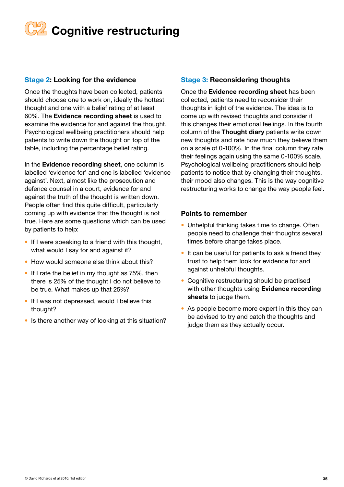# **Z** Cognitive restructuring

#### Stage 2: Looking for the evidence

Once the thoughts have been collected, patients should choose one to work on, ideally the hottest thought and one with a belief rating of at least 60%. The Evidence recording sheet is used to examine the evidence for and against the thought. Psychological wellbeing practitioners should help patients to write down the thought on top of the table, including the percentage belief rating.

In the Evidence recording sheet, one column is labelled 'evidence for' and one is labelled 'evidence against'. Next, almost like the prosecution and defence counsel in a court, evidence for and against the truth of the thought is written down. People often find this quite difficult, particularly coming up with evidence that the thought is not true. Here are some questions which can be used by patients to help:

- If I were speaking to a friend with this thought, what would I say for and against it?
- How would someone else think about this?
- If I rate the belief in my thought as 75%, then there is 25% of the thought I do not believe to be true. What makes up that 25%?
- If I was not depressed, would I believe this thought?
- Is there another way of looking at this situation?

#### Stage 3: Reconsidering thoughts

Once the Evidence recording sheet has been collected, patients need to reconsider their thoughts in light of the evidence. The idea is to come up with revised thoughts and consider if this changes their emotional feelings. In the fourth column of the Thought diary patients write down new thoughts and rate how much they believe them on a scale of 0-100%. In the final column they rate their feelings again using the same 0-100% scale. Psychological wellbeing practitioners should help patients to notice that by changing their thoughts, their mood also changes. This is the way cognitive restructuring works to change the way people feel.

#### Points to remember

- Unhelpful thinking takes time to change. Often people need to challenge their thoughts several times before change takes place.
- It can be useful for patients to ask a friend they trust to help them look for evidence for and against unhelpful thoughts.
- Cognitive restructuring should be practised with other thoughts using Evidence recording sheets to judge them.
- As people become more expert in this they can be advised to try and catch the thoughts and judge them as they actually occur.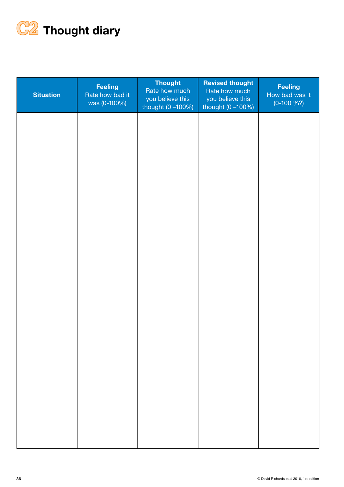

| <b>Situation</b> | <b>Feeling</b><br>Rate how bad it<br>was (0-100%) | Thought<br>Rate how much<br>you believe this<br>thought (0 -100%) | <b>Revised thought</b><br>Rate how much<br>you believe this<br>thought $(0 - 100%)$ | <b>Feeling</b><br>How bad was it<br>$(0-100\%?)$ |
|------------------|---------------------------------------------------|-------------------------------------------------------------------|-------------------------------------------------------------------------------------|--------------------------------------------------|
|                  |                                                   |                                                                   |                                                                                     |                                                  |
|                  |                                                   |                                                                   |                                                                                     |                                                  |
|                  |                                                   |                                                                   |                                                                                     |                                                  |
|                  |                                                   |                                                                   |                                                                                     |                                                  |
|                  |                                                   |                                                                   |                                                                                     |                                                  |
|                  |                                                   |                                                                   |                                                                                     |                                                  |
|                  |                                                   |                                                                   |                                                                                     |                                                  |
|                  |                                                   |                                                                   |                                                                                     |                                                  |
|                  |                                                   |                                                                   |                                                                                     |                                                  |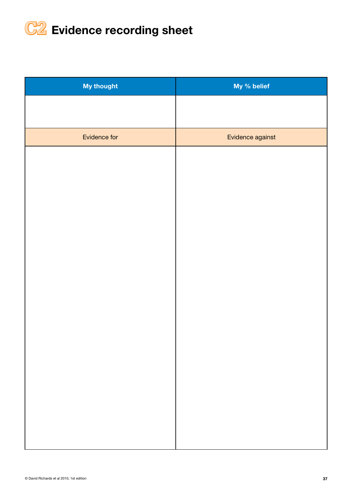

| <b>My thought</b> | My % belief      |
|-------------------|------------------|
|                   |                  |
|                   |                  |
| Evidence for      | Evidence against |
|                   |                  |
|                   |                  |
|                   |                  |
|                   |                  |
|                   |                  |
|                   |                  |
|                   |                  |
|                   |                  |
|                   |                  |
|                   |                  |
|                   |                  |
|                   |                  |
|                   |                  |
|                   |                  |
|                   |                  |
|                   |                  |
|                   |                  |
|                   |                  |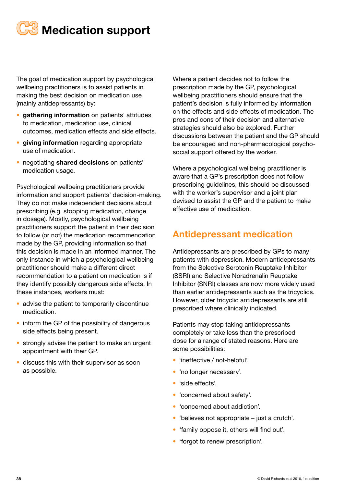

The goal of medication support by psychological wellbeing practitioners is to assist patients in making the best decision on medication use (mainly antidepressants) by:

- gathering information on patients' attitudes to medication, medication use, clinical outcomes, medication effects and side effects.
- giving information regarding appropriate use of medication.
- negotiating shared decisions on patients' medication usage.

Psychological wellbeing practitioners provide information and support patients' decision-making. They do not make independent decisions about prescribing (e.g. stopping medication, change in dosage). Mostly, psychological wellbeing practitioners support the patient in their decision to follow (or not) the medication recommendation made by the GP, providing information so that this decision is made in an informed manner. The only instance in which a psychological wellbeing practitioner should make a different direct recommendation to a patient on medication is if they identify possibly dangerous side effects. In these instances, workers must:

- advise the patient to temporarily discontinue medication.
- inform the GP of the possibility of dangerous side effects being present.
- strongly advise the patient to make an urgent appointment with their GP.
- discuss this with their supervisor as soon as possible.

Where a patient decides not to follow the prescription made by the GP, psychological wellbeing practitioners should ensure that the patient's decision is fully informed by information on the effects and side effects of medication. The pros and cons of their decision and alternative strategies should also be explored. Further discussions between the patient and the GP should be encouraged and non-pharmacological psychosocial support offered by the worker.

Where a psychological wellbeing practitioner is aware that a GP's prescription does not follow prescribing guidelines, this should be discussed with the worker's supervisor and a joint plan devised to assist the GP and the patient to make effective use of medication.

#### Antidepressant medication

Antidepressants are prescribed by GPs to many patients with depression. Modern antidepressants from the Selective Serotonin Reuptake Inhibitor (SSRI) and Selective Noradrenalin Reuptake Inhibitor (SNRI) classes are now more widely used than earlier antidepressants such as the tricyclics. However, older tricyclic antidepressants are still prescribed where clinically indicated.

Patients may stop taking antidepressants completely or take less than the prescribed dose for a range of stated reasons. Here are some possibilities:

- 'ineffective / not-helpful'.
- 'no longer necessary'.
- 'side effects'.
- 'concerned about safety'.
- 'concerned about addiction'.
- 'believes not appropriate just a crutch'.
- 'family oppose it, others will find out'.
- 'forgot to renew prescription'.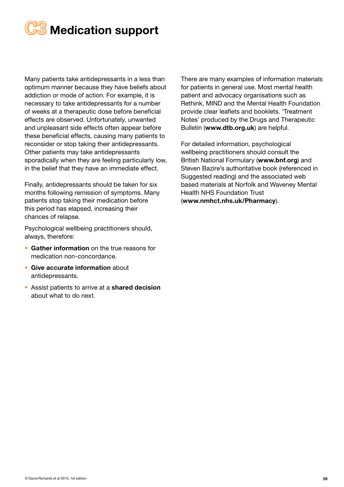

Many patients take antidepressants in a less than optimum manner because they have beliefs about addiction or mode of action. For example, it is necessary to take antidepressants for a number of weeks at a therapeutic dose before beneficial effects are observed. Unfortunately, unwanted and unpleasant side effects often appear before these beneficial effects, causing many patients to reconsider or stop taking their antidepressants. Other patients may take antidepressants sporadically when they are feeling particularly low, in the belief that they have an immediate effect.

Finally, antidepressants should be taken for six months following remission of symptoms. Many patients stop taking their medication before this period has elapsed, increasing their chances of relapse.

Psychological wellbeing practitioners should, always, therefore:

- Gather information on the true reasons for medication non-concordance.
- Give accurate information about antidepressants.
- Assist patients to arrive at a shared decision about what to do next.

There are many examples of information materials for patients in general use. Most mental health patient and advocacy organisations such as Rethink, MIND and the Mental Health Foundation provide clear leaflets and booklets. 'Treatment Notes' produced by the Drugs and Therapeutic Bulletin (www.dtb.org.uk) are helpful.

For detailed information, psychological wellbeing practitioners should consult the British National Formulary (www.bnf.org) and Steven Bazire's authoritative book (referenced in Suggested reading) and the associated web based materials at Norfolk and Waveney Mental Health NHS Foundation Trust (www.nmhct.nhs.uk/Pharmacy).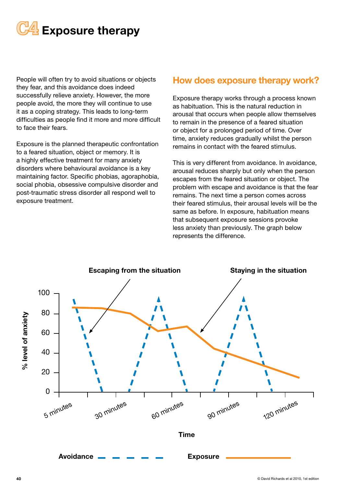

People will often try to avoid situations or objects they fear, and this avoidance does indeed successfully relieve anxiety. However, the more people avoid, the more they will continue to use it as a coping strategy. This leads to long-term difficulties as people find it more and more difficult to face their fears.

Exposure is the planned therapeutic confrontation to a feared situation, object or memory. It is a highly effective treatment for many anxiety disorders where behavioural avoidance is a key maintaining factor. Specific phobias, agoraphobia, social phobia, obsessive compulsive disorder and post-traumatic stress disorder all respond well to exposure treatment.

#### How does exposure therapy work?

Exposure therapy works through a process known as habituation. This is the natural reduction in arousal that occurs when people allow themselves to remain in the presence of a feared situation or object for a prolonged period of time. Over time, anxiety reduces gradually whilst the person remains in contact with the feared stimulus.

This is very different from avoidance. In avoidance, arousal reduces sharply but only when the person escapes from the feared situation or object. The problem with escape and avoidance is that the fear remains. The next time a person comes across their feared stimulus, their arousal levels will be the same as before. In exposure, habituation means that subsequent exposure sessions provoke less anxiety than previously. The graph below represents the difference.

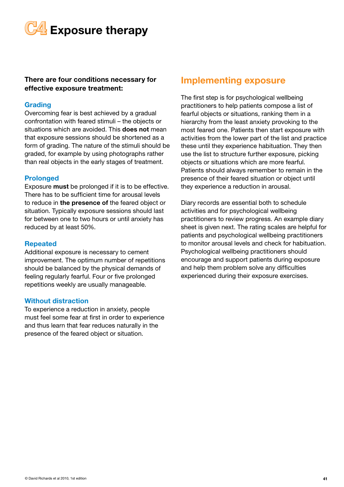**C4** Exposure therapy

#### There are four conditions necessary for effective exposure treatment:

#### Grading

Overcoming fear is best achieved by a gradual confrontation with feared stimuli – the objects or situations which are avoided. This **does not** mean that exposure sessions should be shortened as a form of grading. The nature of the stimuli should be graded, for example by using photographs rather than real objects in the early stages of treatment.

#### Prolonged

Exposure must be prolonged if it is to be effective. There has to be sufficient time for arousal levels to reduce in the presence of the feared object or situation. Typically exposure sessions should last for between one to two hours or until anxiety has reduced by at least 50%.

#### Repeated

Additional exposure is necessary to cement improvement. The optimum number of repetitions should be balanced by the physical demands of feeling regularly fearful. Four or five prolonged repetitions weekly are usually manageable.

#### Without distraction

To experience a reduction in anxiety, people must feel some fear at first in order to experience and thus learn that fear reduces naturally in the presence of the feared object or situation.

#### Implementing exposure

The first step is for psychological wellbeing practitioners to help patients compose a list of fearful objects or situations, ranking them in a hierarchy from the least anxiety provoking to the most feared one. Patients then start exposure with activities from the lower part of the list and practice these until they experience habituation. They then use the list to structure further exposure, picking objects or situations which are more fearful. Patients should always remember to remain in the presence of their feared situation or object until they experience a reduction in arousal.

Diary records are essential both to schedule activities and for psychological wellbeing practitioners to review progress. An example diary sheet is given next. The rating scales are helpful for patients and psychological wellbeing practitioners to monitor arousal levels and check for habituation. Psychological wellbeing practitioners should encourage and support patients during exposure and help them problem solve any difficulties experienced during their exposure exercises.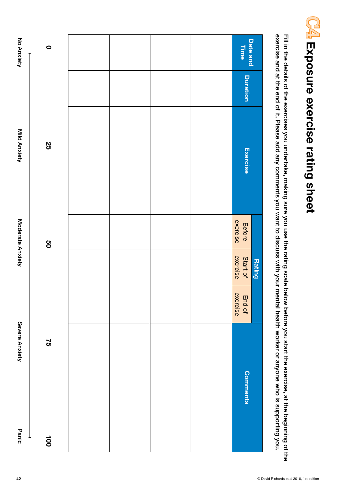| Exercise<br>exercise<br>Before<br>exercise<br>Start of<br>exercise<br>End of |
|------------------------------------------------------------------------------|
| <b>Comments</b>                                                              |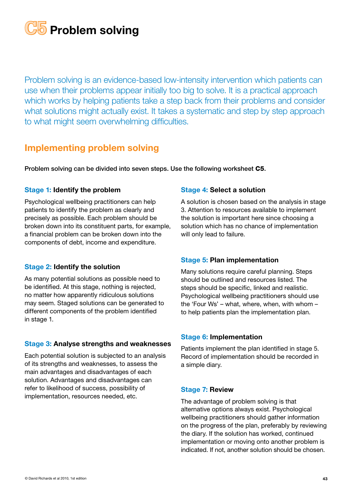

Problem solving is an evidence-based low-intensity intervention which patients can use when their problems appear initially too big to solve. It is a practical approach which works by helping patients take a step back from their problems and consider what solutions might actually exist. It takes a systematic and step by step approach to what might seem overwhelming difficulties.

#### Implementing problem solving

Problem solving can be divided into seven steps. Use the following worksheet C5.

#### Stage 1: Identify the problem

Psychological wellbeing practitioners can help patients to identify the problem as clearly and precisely as possible. Each problem should be broken down into its constituent parts, for example, a financial problem can be broken down into the components of debt, income and expenditure.

#### Stage 2: Identify the solution

As many potential solutions as possible need to be identified. At this stage, nothing is rejected, no matter how apparently ridiculous solutions may seem. Staged solutions can be generated to different components of the problem identified in stage 1.

#### Stage 3: Analyse strengths and weaknesses

Each potential solution is subjected to an analysis of its strengths and weaknesses, to assess the main advantages and disadvantages of each solution. Advantages and disadvantages can refer to likelihood of success, possibility of implementation, resources needed, etc.

#### Stage 4: Select a solution

A solution is chosen based on the analysis in stage 3. Attention to resources available to implement the solution is important here since choosing a solution which has no chance of implementation will only lead to failure.

#### Stage 5: Plan implementation

Many solutions require careful planning. Steps should be outlined and resources listed. The steps should be specific, linked and realistic. Psychological wellbeing practitioners should use the 'Four Ws' – what, where, when, with whom – to help patients plan the implementation plan.

#### Stage 6: Implementation

Patients implement the plan identified in stage 5. Record of implementation should be recorded in a simple diary.

#### Stage 7: Review

The advantage of problem solving is that alternative options always exist. Psychological wellbeing practitioners should gather information on the progress of the plan, preferably by reviewing the diary. If the solution has worked, continued implementation or moving onto another problem is indicated. If not, another solution should be chosen.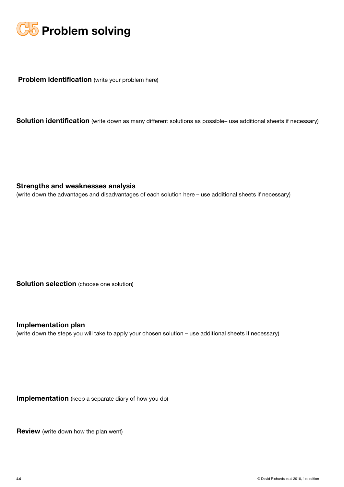

**Problem identification** (write your problem here)

Solution identification (write down as many different solutions as possible- use additional sheets if necessary)

Strengths and weaknesses analysis

(write down the advantages and disadvantages of each solution here – use additional sheets if necessary)

Solution selection (choose one solution)

Implementation plan

(write down the steps you will take to apply your chosen solution – use additional sheets if necessary)

Implementation (keep a separate diary of how you do)

**Review** (write down how the plan went)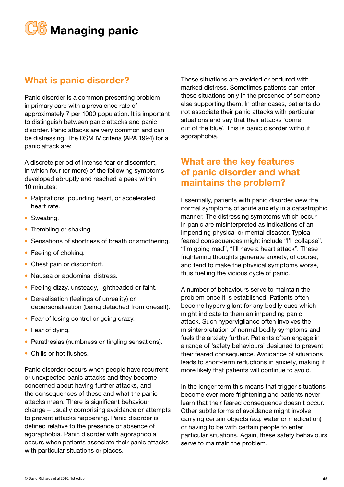

#### What is panic disorder?

Panic disorder is a common presenting problem in primary care with a prevalence rate of approximately 7 per 1000 population. It is important to distinguish between panic attacks and panic disorder. Panic attacks are very common and can be distressing. The DSM IV criteria (APA 1994) for a panic attack are:

A discrete period of intense fear or discomfort, in which four (or more) of the following symptoms developed abruptly and reached a peak within 10 minutes:

- Palpitations, pounding heart, or accelerated heart rate.
- Sweating.
- Trembling or shaking.
- Sensations of shortness of breath or smothering.
- Feeling of choking.
- Chest pain or discomfort.
- Nausea or abdominal distress.
- Feeling dizzy, unsteady, lightheaded or faint.
- Derealisation (feelings of unreality) or depersonalisation (being detached from oneself).
- Fear of losing control or going crazy.
- Fear of dying.
- Parathesias (numbness or tingling sensations).
- Chills or hot flushes.

Panic disorder occurs when people have recurrent or unexpected panic attacks and they become concerned about having further attacks, and the consequences of these and what the panic attacks mean. There is significant behaviour change – usually comprising avoidance or attempts to prevent attacks happening. Panic disorder is defined relative to the presence or absence of agoraphobia. Panic disorder with agoraphobia occurs when patients associate their panic attacks with particular situations or places.

These situations are avoided or endured with marked distress. Sometimes patients can enter these situations only in the presence of someone else supporting them. In other cases, patients do not associate their panic attacks with particular situations and say that their attacks 'come out of the blue'. This is panic disorder without agoraphobia.

#### What are the key features of panic disorder and what maintains the problem?

Essentially, patients with panic disorder view the normal symptoms of acute anxiety in a catastrophic manner. The distressing symptoms which occur in panic are misinterpreted as indications of an impending physical or mental disaster. Typical feared consequences might include "I'll collapse", "I'm going mad", "I'll have a heart attack". These frightening thoughts generate anxiety, of course, and tend to make the physical symptoms worse, thus fuelling the vicious cycle of panic.

A number of behaviours serve to maintain the problem once it is established. Patients often become hypervigilant for any bodily cues which might indicate to them an impending panic attack. Such hypervigilance often involves the misinterpretation of normal bodily symptoms and fuels the anxiety further. Patients often engage in a range of 'safety behaviours' designed to prevent their feared consequence. Avoidance of situations leads to short-term reductions in anxiety, making it more likely that patients will continue to avoid.

In the longer term this means that trigger situations become ever more frightening and patients never learn that their feared consequence doesn't occur. Other subtle forms of avoidance might involve carrying certain objects (e.g. water or medication) or having to be with certain people to enter particular situations. Again, these safety behaviours serve to maintain the problem.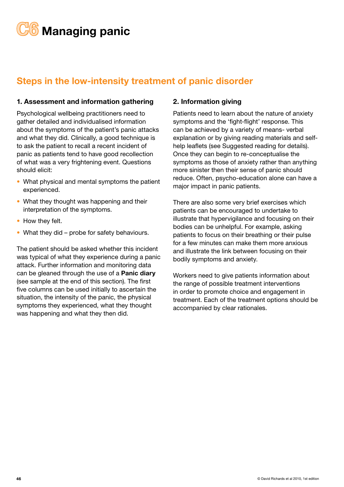# **C6** Managing panic

## Steps in the low-intensity treatment of panic disorder

#### 1. Assessment and information gathering

Psychological wellbeing practitioners need to gather detailed and individualised information about the symptoms of the patient's panic attacks and what they did. Clinically, a good technique is to ask the patient to recall a recent incident of panic as patients tend to have good recollection of what was a very frightening event. Questions should elicit:

- What physical and mental symptoms the patient experienced.
- What they thought was happening and their interpretation of the symptoms.
- How they felt.
- What they did probe for safety behaviours.

The patient should be asked whether this incident was typical of what they experience during a panic attack. Further information and monitoring data can be gleaned through the use of a Panic diary (see sample at the end of this section). The first five columns can be used initially to ascertain the situation, the intensity of the panic, the physical symptoms they experienced, what they thought was happening and what they then did.

#### 2. Information giving

Patients need to learn about the nature of anxiety symptoms and the 'fight-flight' response. This can be achieved by a variety of means- verbal explanation or by giving reading materials and selfhelp leaflets (see Suggested reading for details). Once they can begin to re-conceptualise the symptoms as those of anxiety rather than anything more sinister then their sense of panic should reduce. Often, psycho-education alone can have a major impact in panic patients.

There are also some very brief exercises which patients can be encouraged to undertake to illustrate that hypervigilance and focusing on their bodies can be unhelpful. For example, asking patients to focus on their breathing or their pulse for a few minutes can make them more anxious and illustrate the link between focusing on their bodily symptoms and anxiety.

Workers need to give patients information about the range of possible treatment interventions in order to promote choice and engagement in treatment. Each of the treatment options should be accompanied by clear rationales.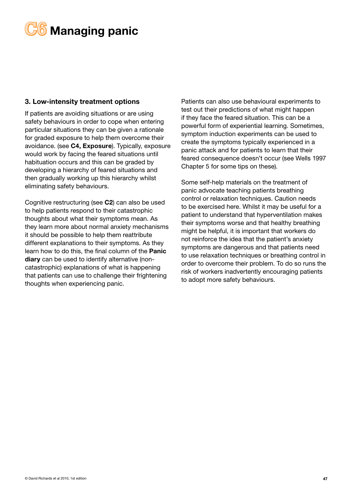

#### 3. Low-intensity treatment options

If patients are avoiding situations or are using safety behaviours in order to cope when entering particular situations they can be given a rationale for graded exposure to help them overcome their avoidance. (see C4, Exposure). Typically, exposure would work by facing the feared situations until habituation occurs and this can be graded by developing a hierarchy of feared situations and then gradually working up this hierarchy whilst eliminating safety behaviours.

Cognitive restructuring (see C2) can also be used to help patients respond to their catastrophic thoughts about what their symptoms mean. As they learn more about normal anxiety mechanisms it should be possible to help them reattribute different explanations to their symptoms. As they learn how to do this, the final column of the Panic diary can be used to identify alternative (noncatastrophic) explanations of what is happening that patients can use to challenge their frightening thoughts when experiencing panic.

Patients can also use behavioural experiments to test out their predictions of what might happen if they face the feared situation. This can be a powerful form of experiential learning. Sometimes, symptom induction experiments can be used to create the symptoms typically experienced in a panic attack and for patients to learn that their feared consequence doesn't occur (see Wells 1997 Chapter 5 for some tips on these).

Some self-help materials on the treatment of panic advocate teaching patients breathing control or relaxation techniques. Caution needs to be exercised here. Whilst it may be useful for a patient to understand that hyperventilation makes their symptoms worse and that healthy breathing might be helpful, it is important that workers do not reinforce the idea that the patient's anxiety symptoms are dangerous and that patients need to use relaxation techniques or breathing control in order to overcome their problem. To do so runs the risk of workers inadvertently encouraging patients to adopt more safety behaviours.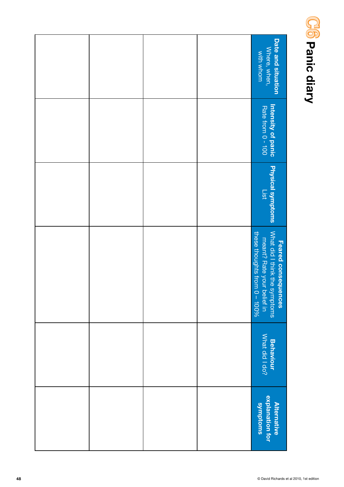

| Date and situation<br>Where, when,<br>with whom                                                                                                         |  |  |
|---------------------------------------------------------------------------------------------------------------------------------------------------------|--|--|
| Intensity of panic<br>Rate from 0 - 100                                                                                                                 |  |  |
| <b>Physical symptoms</b><br>List                                                                                                                        |  |  |
| What did I think<br>these thoughts<br>/hat did I think the symptoms<br>meant? Rate your belief in<br>lese thoughts from 0 – 100%<br>Feared consequences |  |  |
| <b>Behaviour<br/>What did I do?</b>                                                                                                                     |  |  |
| explanation for<br>swondroms<br><b>Alternative</b>                                                                                                      |  |  |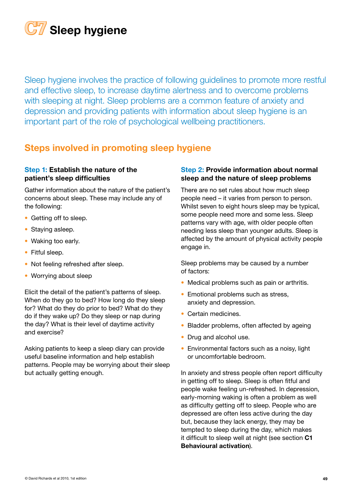

Sleep hygiene involves the practice of following guidelines to promote more restful and effective sleep, to increase daytime alertness and to overcome problems with sleeping at night. Sleep problems are a common feature of anxiety and depression and providing patients with information about sleep hygiene is an important part of the role of psychological wellbeing practitioners.

## Steps involved in promoting sleep hygiene

#### Step 1: Establish the nature of the patient's sleep difficulties

Gather information about the nature of the patient's concerns about sleep. These may include any of the following:

- Getting off to sleep.
- Staying asleep.
- Waking too early.
- Fitful sleep.
- Not feeling refreshed after sleep.
- Worrying about sleep

Elicit the detail of the patient's patterns of sleep. When do they go to bed? How long do they sleep for? What do they do prior to bed? What do they do if they wake up? Do they sleep or nap during the day? What is their level of daytime activity and exercise?

Asking patients to keep a sleep diary can provide useful baseline information and help establish patterns. People may be worrying about their sleep but actually getting enough.

#### Step 2: Provide information about normal sleep and the nature of sleep problems

There are no set rules about how much sleep people need – it varies from person to person. Whilst seven to eight hours sleep may be typical, some people need more and some less. Sleep patterns vary with age, with older people often needing less sleep than younger adults. Sleep is affected by the amount of physical activity people engage in.

Sleep problems may be caused by a number of factors:

- Medical problems such as pain or arthritis.
- Emotional problems such as stress, anxiety and depression.
- Certain medicines.
- Bladder problems, often affected by ageing
- Drug and alcohol use.
- Environmental factors such as a noisy, light or uncomfortable bedroom.

In anxiety and stress people often report difficulty in getting off to sleep. Sleep is often fitful and people wake feeling un-refreshed. In depression, early-morning waking is often a problem as well as difficulty getting off to sleep. People who are depressed are often less active during the day but, because they lack energy, they may be tempted to sleep during the day, which makes it difficult to sleep well at night (see section C1 Behavioural activation).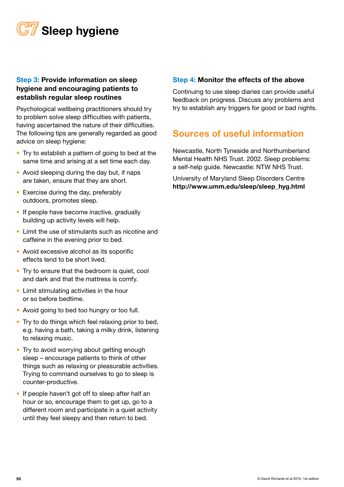

#### Step 3: Provide information on sleep hygiene and encouraging patients to establish regular sleep routines

Psychological wellbeing practitioners should try to problem solve sleep difficulties with patients, having ascertained the nature of their difficulties. The following tips are generally regarded as good advice on sleep hygiene:

- Try to establish a pattern of going to bed at the same time and arising at a set time each day.
- Avoid sleeping during the day but, if naps are taken, ensure that they are short.
- Exercise during the day, preferably outdoors, promotes sleep.
- If people have become inactive, gradually building up activity levels will help.
- Limit the use of stimulants such as nicotine and caffeine in the evening prior to bed.
- Avoid excessive alcohol as its soporific effects tend to be short lived.
- Try to ensure that the bedroom is quiet, cool and dark and that the mattress is comfy.
- Limit stimulating activities in the hour or so before bedtime.
- Avoid going to bed too hungry or too full.
- Try to do things which feel relaxing prior to bed, e.g. having a bath, taking a milky drink, listening to relaxing music.
- Try to avoid worrying about getting enough sleep – encourage patients to think of other things such as relaxing or pleasurable activities. Trying to command ourselves to go to sleep is counter-productive.
- If people haven't got off to sleep after half an hour or so, encourage them to get up, go to a different room and participate in a quiet activity until they feel sleepy and then return to bed.

#### Step 4: Monitor the effects of the above

Continuing to use sleep diaries can provide useful feedback on progress. Discuss any problems and try to establish any triggers for good or bad nights.

#### Sources of useful information

Newcastle, North Tyneside and Northumberland Mental Health NHS Trust. 2002. Sleep problems: a self-help guide. Newcastle: NTW NHS Trust.

University of Maryland Sleep Disorders Centre http://www.umm.edu/sleep/sleep\_hyg.html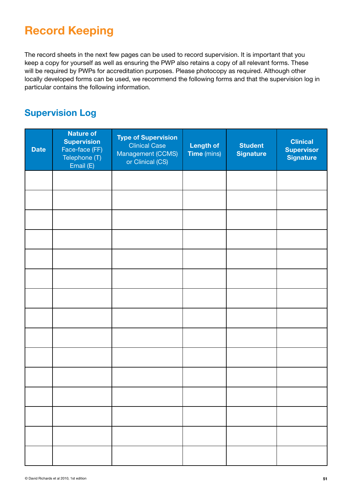# Record Keeping

The record sheets in the next few pages can be used to record supervision. It is important that you keep a copy for yourself as well as ensuring the PWP also retains a copy of all relevant forms. These will be required by PWPs for accreditation purposes. Please photocopy as required. Although other locally developed forms can be used, we recommend the following forms and that the supervision log in particular contains the following information.

## Supervision Log

| <b>Date</b> | <b>Nature of</b><br><b>Supervision</b><br>Face-face (FF)<br>Telephone (T)<br>Email (E) | <b>Type of Supervision</b><br><b>Clinical Case</b><br>Management (CCMS)<br>or Clinical (CS) | <b>Length of</b><br>Time (mins) | <b>Student</b><br><b>Signature</b> | <b>Clinical</b><br><b>Supervisor</b><br><b>Signature</b> |
|-------------|----------------------------------------------------------------------------------------|---------------------------------------------------------------------------------------------|---------------------------------|------------------------------------|----------------------------------------------------------|
|             |                                                                                        |                                                                                             |                                 |                                    |                                                          |
|             |                                                                                        |                                                                                             |                                 |                                    |                                                          |
|             |                                                                                        |                                                                                             |                                 |                                    |                                                          |
|             |                                                                                        |                                                                                             |                                 |                                    |                                                          |
|             |                                                                                        |                                                                                             |                                 |                                    |                                                          |
|             |                                                                                        |                                                                                             |                                 |                                    |                                                          |
|             |                                                                                        |                                                                                             |                                 |                                    |                                                          |
|             |                                                                                        |                                                                                             |                                 |                                    |                                                          |
|             |                                                                                        |                                                                                             |                                 |                                    |                                                          |
|             |                                                                                        |                                                                                             |                                 |                                    |                                                          |
|             |                                                                                        |                                                                                             |                                 |                                    |                                                          |
|             |                                                                                        |                                                                                             |                                 |                                    |                                                          |
|             |                                                                                        |                                                                                             |                                 |                                    |                                                          |
|             |                                                                                        |                                                                                             |                                 |                                    |                                                          |
|             |                                                                                        |                                                                                             |                                 |                                    |                                                          |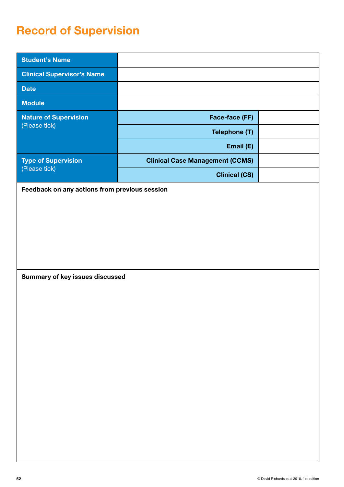# Record of Supervision

| <b>Student's Name</b>                         |                                        |  |
|-----------------------------------------------|----------------------------------------|--|
| <b>Clinical Supervisor's Name</b>             |                                        |  |
| <b>Date</b>                                   |                                        |  |
| <b>Module</b>                                 |                                        |  |
| <b>Nature of Supervision</b>                  | Face-face (FF)                         |  |
| (Please tick)                                 | Telephone (T)                          |  |
|                                               | Email (E)                              |  |
| <b>Type of Supervision</b>                    | <b>Clinical Case Management (CCMS)</b> |  |
| (Please tick)                                 | <b>Clinical (CS)</b>                   |  |
| Feedback on any actions from previous session |                                        |  |
|                                               |                                        |  |
|                                               |                                        |  |
|                                               |                                        |  |
|                                               |                                        |  |
|                                               |                                        |  |
| Summary of key issues discussed               |                                        |  |
|                                               |                                        |  |
|                                               |                                        |  |
|                                               |                                        |  |
|                                               |                                        |  |
|                                               |                                        |  |
|                                               |                                        |  |
|                                               |                                        |  |
|                                               |                                        |  |
|                                               |                                        |  |
|                                               |                                        |  |
|                                               |                                        |  |
|                                               |                                        |  |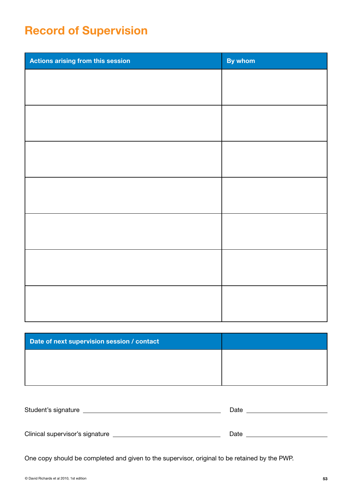# Record of Supervision

| By whom |
|---------|
|         |
|         |
|         |
|         |
|         |
|         |
|         |
|         |
|         |
|         |
|         |
|         |
|         |
|         |
|         |

| Date of next supervision session / contact |  |
|--------------------------------------------|--|
|                                            |  |
|                                            |  |

| Student's signature             | Date |
|---------------------------------|------|
|                                 |      |
|                                 |      |
| Clinical supervisor's signature | Date |
|                                 |      |

One copy should be completed and given to the supervisor, original to be retained by the PWP.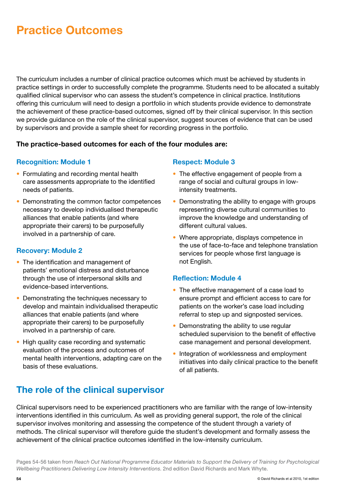# Practice Outcomes

The curriculum includes a number of clinical practice outcomes which must be achieved by students in practice settings in order to successfully complete the programme. Students need to be allocated a suitably qualified clinical supervisor who can assess the student's competence in clinical practice. Institutions offering this curriculum will need to design a portfolio in which students provide evidence to demonstrate the achievement of these practice-based outcomes, signed off by their clinical supervisor. In this section we provide guidance on the role of the clinical supervisor, suggest sources of evidence that can be used by supervisors and provide a sample sheet for recording progress in the portfolio.

#### The practice-based outcomes for each of the four modules are:

#### Recognition: Module 1

- Formulating and recording mental health care assessments appropriate to the identified needs of patients.
- Demonstrating the common factor competences necessary to develop individualised therapeutic alliances that enable patients (and where appropriate their carers) to be purposefully involved in a partnership of care.

#### Recovery: Module 2

- The identification and management of patients' emotional distress and disturbance through the use of interpersonal skills and evidence-based interventions.
- Demonstrating the techniques necessary to develop and maintain individualised therapeutic alliances that enable patients (and where appropriate their carers) to be purposefully involved in a partnership of care.
- High quality case recording and systematic evaluation of the process and outcomes of mental health interventions, adapting care on the basis of these evaluations.

#### Respect: Module 3

- The effective engagement of people from a range of social and cultural groups in lowintensity treatments.
- Demonstrating the ability to engage with groups representing diverse cultural communities to improve the knowledge and understanding of different cultural values.
- Where appropriate, displays competence in the use of face-to-face and telephone translation services for people whose first language is not English.

#### Reflection: Module 4

- The effective management of a case load to ensure prompt and efficient access to care for patients on the worker's case load including referral to step up and signposted services.
- Demonstrating the ability to use regular scheduled supervision to the benefit of effective case management and personal development.
- Integration of worklessness and employment initiatives into daily clinical practice to the benefit of all patients.

## The role of the clinical supervisor

Clinical supervisors need to be experienced practitioners who are familiar with the range of low-intensity interventions identified in this curriculum. As well as providing general support, the role of the clinical supervisor involves monitoring and assessing the competence of the student through a variety of methods. The clinical supervisor will therefore guide the student's development and formally assess the achievement of the clinical practice outcomes identified in the low-intensity curriculum.

Pages 54-56 taken from *Reach Out National Programme Educator Materials to Support the Delivery of Training for Psychological Wellbeing Practitioners Delivering Low Intensity Interventions*. 2nd edition David Richards and Mark Whyte.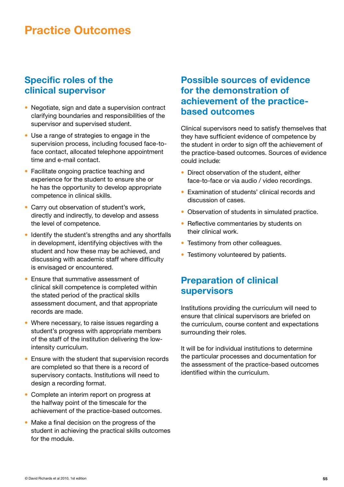# Practice Outcomes

#### Specific roles of the clinical supervisor

- Negotiate, sign and date a supervision contract clarifying boundaries and responsibilities of the supervisor and supervised student.
- Use a range of strategies to engage in the supervision process, including focused face-toface contact, allocated telephone appointment time and e-mail contact.
- Facilitate ongoing practice teaching and experience for the student to ensure she or he has the opportunity to develop appropriate competence in clinical skills.
- Carry out observation of student's work, directly and indirectly, to develop and assess the level of competence.
- Identify the student's strengths and any shortfalls in development, identifying objectives with the student and how these may be achieved, and discussing with academic staff where difficulty is envisaged or encountered.
- Ensure that summative assessment of clinical skill competence is completed within the stated period of the practical skills assessment document, and that appropriate records are made.
- Where necessary, to raise issues regarding a student's progress with appropriate members of the staff of the institution delivering the lowintensity curriculum.
- Ensure with the student that supervision records are completed so that there is a record of supervisory contacts. Institutions will need to design a recording format.
- Complete an interim report on progress at the halfway point of the timescale for the achievement of the practice-based outcomes.
- Make a final decision on the progress of the student in achieving the practical skills outcomes for the module.

#### Possible sources of evidence for the demonstration of achievement of the practicebased outcomes

Clinical supervisors need to satisfy themselves that they have sufficient evidence of competence by the student in order to sign off the achievement of the practice-based outcomes. Sources of evidence could include:

- Direct observation of the student, either face-to-face or via audio / video recordings.
- Examination of students' clinical records and discussion of cases.
- Observation of students in simulated practice.
- Reflective commentaries by students on their clinical work.
- Testimony from other colleagues.
- Testimony volunteered by patients.

#### Preparation of clinical supervisors

Institutions providing the curriculum will need to ensure that clinical supervisors are briefed on the curriculum, course content and expectations surrounding their roles.

It will be for individual institutions to determine the particular processes and documentation for the assessment of the practice-based outcomes identified within the curriculum.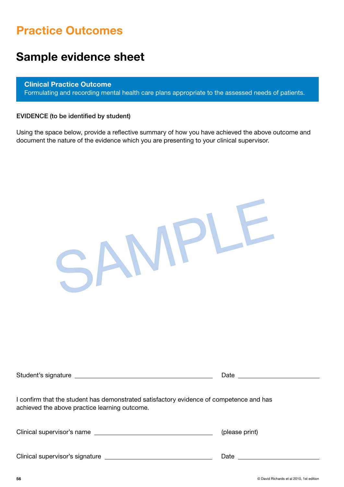# Practice Outcomes

# Sample evidence sheet

Clinical Practice Outcome Formulating and recording mental health care plans appropriate to the assessed needs of patients.

#### EVIDENCE (to be identified by student)

Using the space below, provide a reflective summary of how you have achieved the above outcome and document the nature of the evidence which you are presenting to your clinical supervisor.

|                                                                                                                                          | Date           |
|------------------------------------------------------------------------------------------------------------------------------------------|----------------|
| I confirm that the student has demonstrated satisfactory evidence of competence and has<br>achieved the above practice learning outcome. |                |
|                                                                                                                                          | (please print) |
|                                                                                                                                          |                |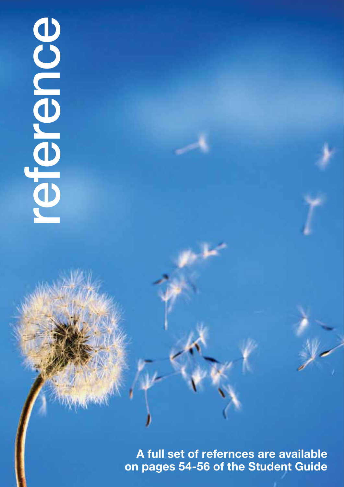# OC DO DO DAVID RICHARDS AT THE STATE OF THE STATE OF THE STATE OF THE STATE OF THE STATE OF THE STATE OF THE STATE OF THE STATE OF THE STATE OF THE STATE OF THE STATE OF THE STATE OF THE STATE OF THE STATE OF THE STATE OF

A full set of refernces are available on pages 54-56 of the Student Guide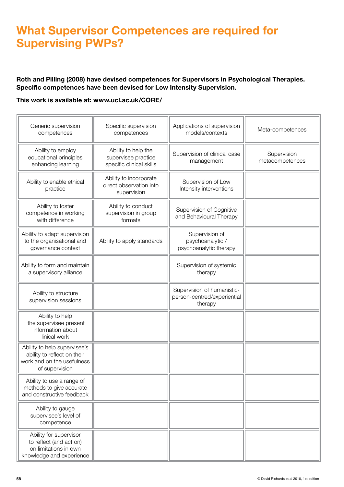# What Supervisor Competences are required for Supervising PWPs?

#### Roth and Pilling (2008) have devised competences for Supervisors in Psychological Therapies. Specific competences have been devised for Low Intensity Supervision.

#### This work is available at: www.ucl.ac.uk/CORE/

| Generic supervision<br>competences                                                                          | Specific supervision<br>competences                                    | Applications of supervision<br>models/contexts                       | Meta-competences               |
|-------------------------------------------------------------------------------------------------------------|------------------------------------------------------------------------|----------------------------------------------------------------------|--------------------------------|
| Ability to employ<br>educational principles<br>enhancing learning                                           | Ability to help the<br>supervisee practice<br>specific clinical skills | Supervision of clinical case<br>management                           | Supervision<br>metacompetences |
| Ability to enable ethical<br>practice                                                                       | Ability to incorporate<br>direct observation into<br>supervision       | Supervision of Low<br>Intensity interventions                        |                                |
| Ability to foster<br>competence in working<br>with difference                                               | Ability to conduct<br>supervision in group<br>formats                  | Supervision of Cognitive<br>and Behavioural Therapy                  |                                |
| Ability to adapt supervision<br>to the organisational and<br>governance context                             | Ability to apply standards                                             | Supervision of<br>psychoanalytic /<br>psychoanalytic therapy         |                                |
| Ability to form and maintain<br>a supervisory alliance                                                      |                                                                        | Supervision of systemic<br>therapy                                   |                                |
| Ability to structure<br>supervision sessions                                                                |                                                                        | Supervision of humanistic-<br>person-centred/experiential<br>therapy |                                |
| Ability to help<br>the supervisee present<br>information about<br>linical work                              |                                                                        |                                                                      |                                |
| Ability to help supervisee's<br>ability to reflect on their<br>work and on the usefulness<br>of supervision |                                                                        |                                                                      |                                |
| Ability to use a range of<br>methods to give accurate<br>and constructive feedback                          |                                                                        |                                                                      |                                |
| Ability to gauge<br>supervisee's level of<br>competence                                                     |                                                                        |                                                                      |                                |
| Ability for supervisor<br>to reflect (and act on)<br>on limitations in own<br>knowledge and experience      |                                                                        |                                                                      |                                |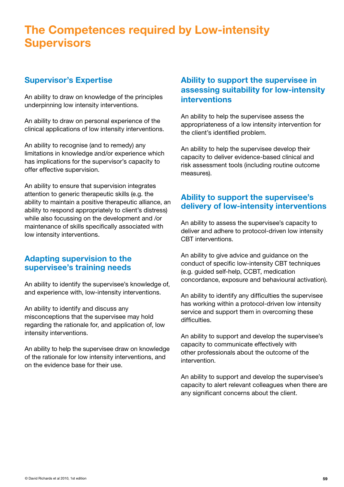# The Competences required by Low-intensity **Supervisors**

#### Supervisor's Expertise

An ability to draw on knowledge of the principles underpinning low intensity interventions.

An ability to draw on personal experience of the clinical applications of low intensity interventions.

An ability to recognise (and to remedy) any limitations in knowledge and/or experience which has implications for the supervisor's capacity to offer effective supervision.

An ability to ensure that supervision integrates attention to generic therapeutic skills (e.g. the ability to maintain a positive therapeutic alliance, an ability to respond appropriately to client's distress) while also focussing on the development and /or maintenance of skills specifically associated with low intensity interventions.

#### Adapting supervision to the supervisee's training needs

An ability to identify the supervisee's knowledge of, and experience with, low-intensity interventions.

An ability to identify and discuss any misconceptions that the supervisee may hold regarding the rationale for, and application of, low intensity interventions.

An ability to help the supervisee draw on knowledge of the rationale for low intensity interventions, and on the evidence base for their use.

#### Ability to support the supervisee in assessing suitability for low-intensity interventions

An ability to help the supervisee assess the appropriateness of a low intensity intervention for the client's identified problem.

An ability to help the supervisee develop their capacity to deliver evidence-based clinical and risk assessment tools (including routine outcome measures).

#### Ability to support the supervisee's delivery of low-intensity interventions

An ability to assess the supervisee's capacity to deliver and adhere to protocol-driven low intensity CBT interventions.

An ability to give advice and guidance on the conduct of specific low-intensity CBT techniques (e.g. guided self-help, CCBT, medication concordance, exposure and behavioural activation).

An ability to identify any difficulties the supervisee has working within a protocol-driven low intensity service and support them in overcoming these difficulties.

An ability to support and develop the supervisee's capacity to communicate effectively with other professionals about the outcome of the intervention.

An ability to support and develop the supervisee's capacity to alert relevant colleagues when there are any significant concerns about the client.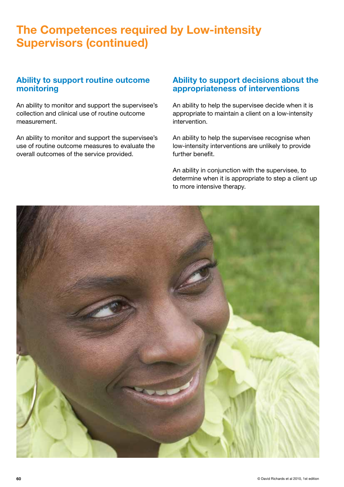# The Competences required by Low-intensity Supervisors (continued)

#### Ability to support routine outcome monitoring

An ability to monitor and support the supervisee's collection and clinical use of routine outcome measurement.

An ability to monitor and support the supervisee's use of routine outcome measures to evaluate the overall outcomes of the service provided.

#### Ability to support decisions about the appropriateness of interventions

An ability to help the supervisee decide when it is appropriate to maintain a client on a low-intensity intervention.

An ability to help the supervisee recognise when low-intensity interventions are unlikely to provide further benefit.

An ability in conjunction with the supervisee, to determine when it is appropriate to step a client up to more intensive therapy.

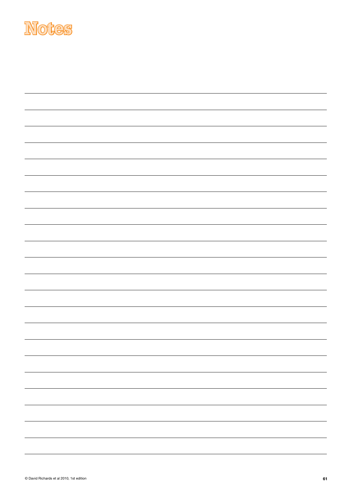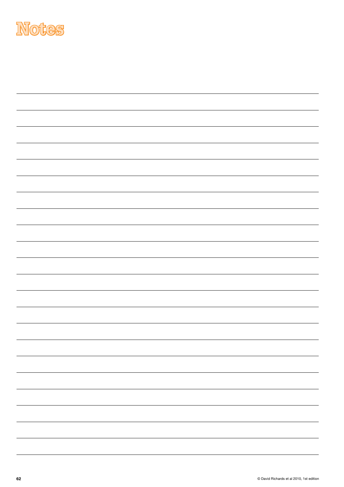